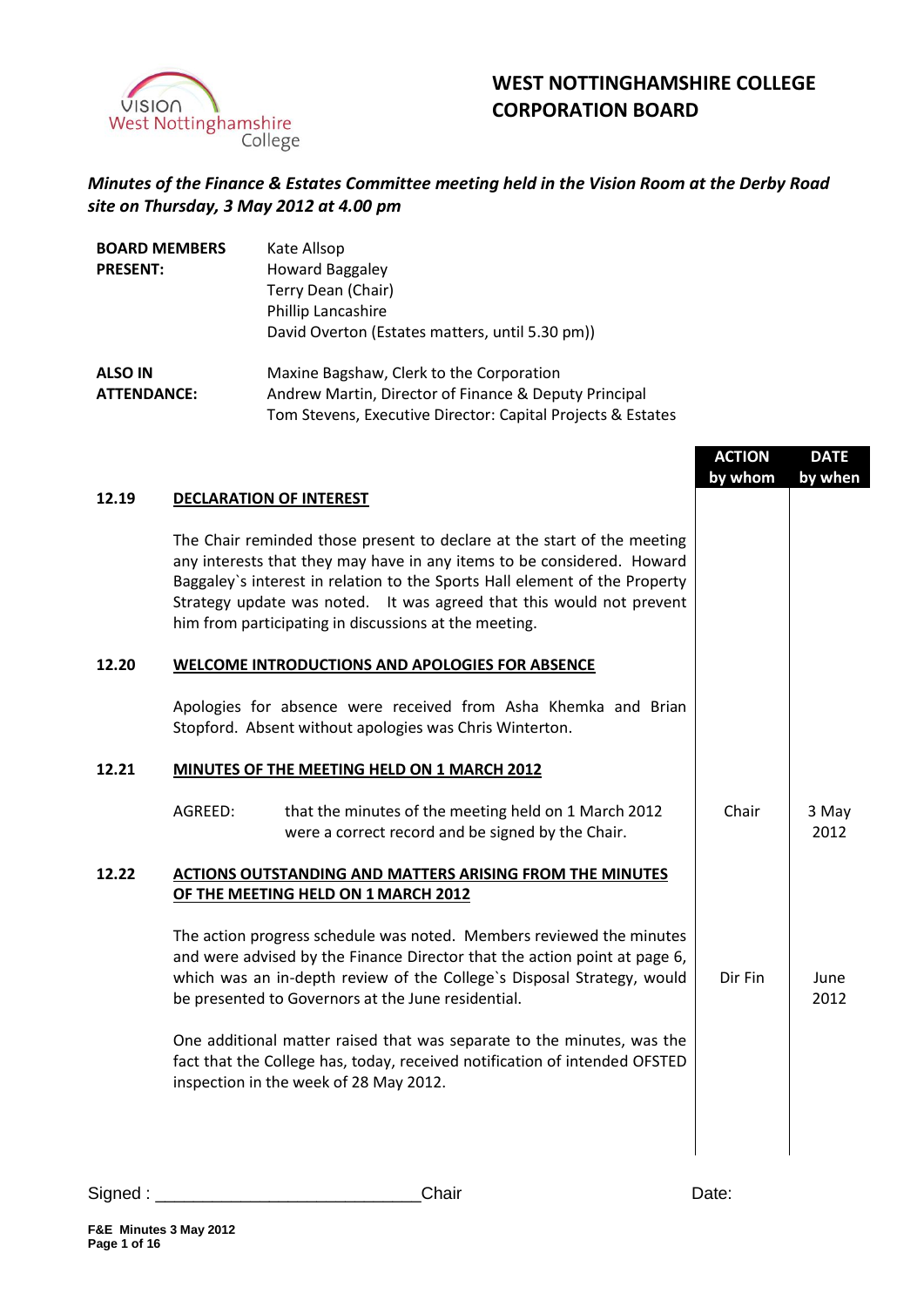

# **WEST NOTTINGHAMSHIRE COLLEGE CORPORATION BOARD**

## *Minutes of the Finance & Estates Committee meeting held in the Vision Room at the Derby Road site on Thursday, 3 May 2012 at 4.00 pm*

| <b>BOARD MEMBERS</b> | Kate Allsop                                                 |
|----------------------|-------------------------------------------------------------|
| <b>PRESENT:</b>      | <b>Howard Baggaley</b>                                      |
|                      | Terry Dean (Chair)                                          |
|                      | Phillip Lancashire                                          |
|                      | David Overton (Estates matters, until 5.30 pm))             |
| <b>ALSO IN</b>       | Maxine Bagshaw, Clerk to the Corporation                    |
| <b>ATTENDANCE:</b>   | Andrew Martin, Director of Finance & Deputy Principal       |
|                      | Tom Stevens, Executive Director: Capital Projects & Estates |

|       |                                                                                                                                                                                                                                                                                                                                                                  | <b>ACTION</b> | <b>DATE</b>   |
|-------|------------------------------------------------------------------------------------------------------------------------------------------------------------------------------------------------------------------------------------------------------------------------------------------------------------------------------------------------------------------|---------------|---------------|
|       |                                                                                                                                                                                                                                                                                                                                                                  | by whom       | by when       |
| 12.19 | <b>DECLARATION OF INTEREST</b>                                                                                                                                                                                                                                                                                                                                   |               |               |
|       | The Chair reminded those present to declare at the start of the meeting<br>any interests that they may have in any items to be considered. Howard<br>Baggaley's interest in relation to the Sports Hall element of the Property<br>Strategy update was noted. It was agreed that this would not prevent<br>him from participating in discussions at the meeting. |               |               |
| 12.20 | <b>WELCOME INTRODUCTIONS AND APOLOGIES FOR ABSENCE</b>                                                                                                                                                                                                                                                                                                           |               |               |
|       | Apologies for absence were received from Asha Khemka and Brian<br>Stopford. Absent without apologies was Chris Winterton.                                                                                                                                                                                                                                        |               |               |
| 12.21 | MINUTES OF THE MEETING HELD ON 1 MARCH 2012                                                                                                                                                                                                                                                                                                                      |               |               |
|       | AGREED:<br>that the minutes of the meeting held on 1 March 2012<br>were a correct record and be signed by the Chair.                                                                                                                                                                                                                                             | Chair         | 3 May<br>2012 |
| 12.22 | <b>ACTIONS OUTSTANDING AND MATTERS ARISING FROM THE MINUTES</b><br>OF THE MEETING HELD ON 1 MARCH 2012                                                                                                                                                                                                                                                           |               |               |
|       | The action progress schedule was noted. Members reviewed the minutes<br>and were advised by the Finance Director that the action point at page 6,<br>which was an in-depth review of the College's Disposal Strategy, would<br>be presented to Governors at the June residential.                                                                                | Dir Fin       | June<br>2012  |
|       | One additional matter raised that was separate to the minutes, was the<br>fact that the College has, today, received notification of intended OFSTED<br>inspection in the week of 28 May 2012.                                                                                                                                                                   |               |               |
|       |                                                                                                                                                                                                                                                                                                                                                                  |               |               |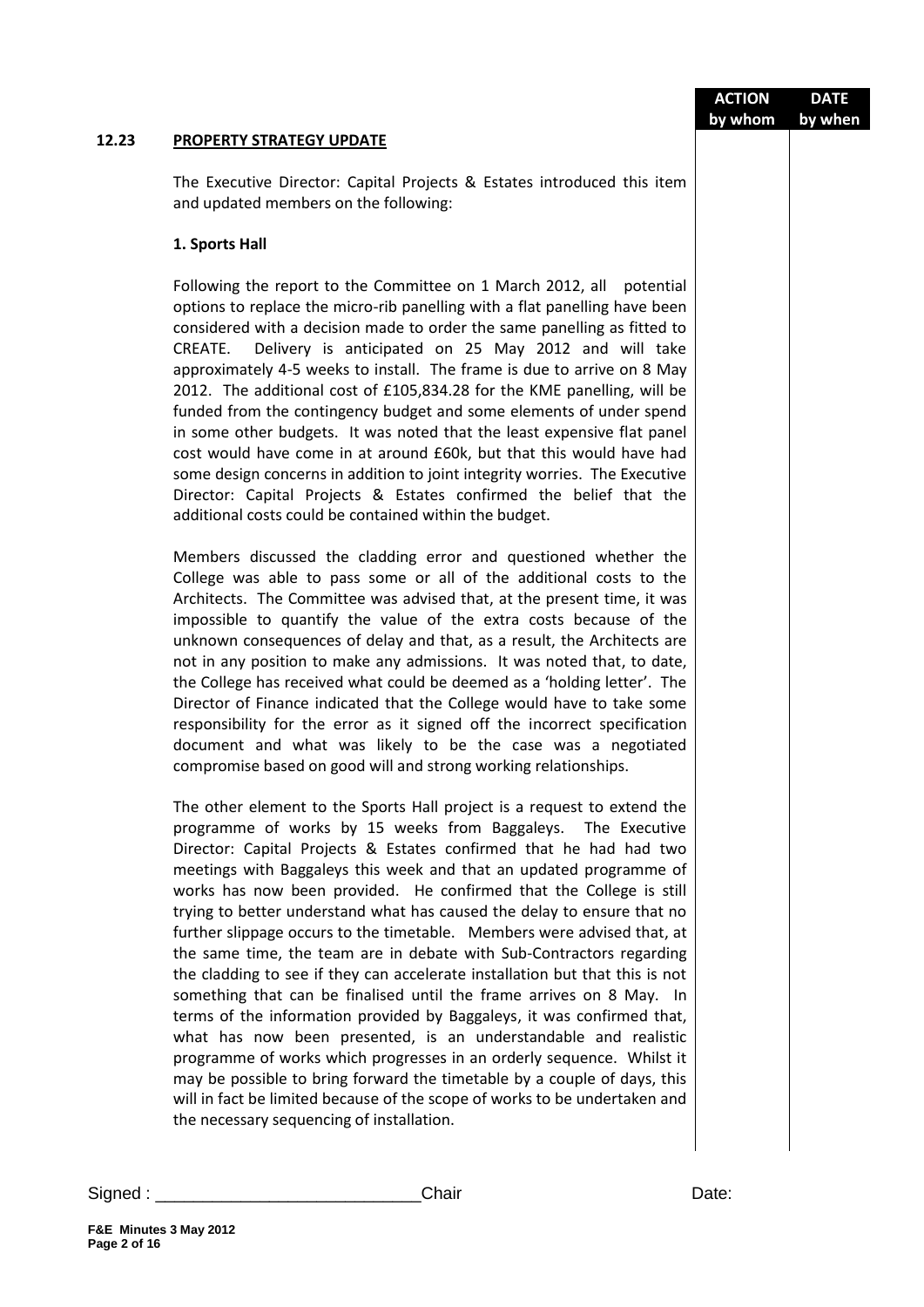|          |                                                                                                                                                                                                                                                                                                                                                                                                                                                                                                                                                                                                                                                                                                                                                                                                                                                                                                                                                                                                                                                                                                                                                                               | <b>ACTION</b><br>by whom | <b>DATE</b> |
|----------|-------------------------------------------------------------------------------------------------------------------------------------------------------------------------------------------------------------------------------------------------------------------------------------------------------------------------------------------------------------------------------------------------------------------------------------------------------------------------------------------------------------------------------------------------------------------------------------------------------------------------------------------------------------------------------------------------------------------------------------------------------------------------------------------------------------------------------------------------------------------------------------------------------------------------------------------------------------------------------------------------------------------------------------------------------------------------------------------------------------------------------------------------------------------------------|--------------------------|-------------|
| 12.23    | PROPERTY STRATEGY UPDATE                                                                                                                                                                                                                                                                                                                                                                                                                                                                                                                                                                                                                                                                                                                                                                                                                                                                                                                                                                                                                                                                                                                                                      |                          | by when     |
|          | The Executive Director: Capital Projects & Estates introduced this item<br>and updated members on the following:                                                                                                                                                                                                                                                                                                                                                                                                                                                                                                                                                                                                                                                                                                                                                                                                                                                                                                                                                                                                                                                              |                          |             |
|          | 1. Sports Hall                                                                                                                                                                                                                                                                                                                                                                                                                                                                                                                                                                                                                                                                                                                                                                                                                                                                                                                                                                                                                                                                                                                                                                |                          |             |
|          | Following the report to the Committee on 1 March 2012, all potential<br>options to replace the micro-rib panelling with a flat panelling have been<br>considered with a decision made to order the same panelling as fitted to<br>Delivery is anticipated on 25 May 2012 and will take<br>CREATE.<br>approximately 4-5 weeks to install. The frame is due to arrive on 8 May<br>2012. The additional cost of £105,834.28 for the KME panelling, will be<br>funded from the contingency budget and some elements of under spend<br>in some other budgets. It was noted that the least expensive flat panel<br>cost would have come in at around £60k, but that this would have had<br>some design concerns in addition to joint integrity worries. The Executive<br>Director: Capital Projects & Estates confirmed the belief that the<br>additional costs could be contained within the budget.                                                                                                                                                                                                                                                                               |                          |             |
|          | Members discussed the cladding error and questioned whether the<br>College was able to pass some or all of the additional costs to the<br>Architects. The Committee was advised that, at the present time, it was<br>impossible to quantify the value of the extra costs because of the<br>unknown consequences of delay and that, as a result, the Architects are<br>not in any position to make any admissions. It was noted that, to date,<br>the College has received what could be deemed as a 'holding letter'. The<br>Director of Finance indicated that the College would have to take some<br>responsibility for the error as it signed off the incorrect specification<br>document and what was likely to be the case was a negotiated<br>compromise based on good will and strong working relationships.                                                                                                                                                                                                                                                                                                                                                           |                          |             |
|          | The other element to the Sports Hall project is a request to extend the<br>programme of works by 15 weeks from Baggaleys. The Executive<br>Director: Capital Projects & Estates confirmed that he had had two<br>meetings with Baggaleys this week and that an updated programme of<br>works has now been provided. He confirmed that the College is still<br>trying to better understand what has caused the delay to ensure that no<br>further slippage occurs to the timetable. Members were advised that, at<br>the same time, the team are in debate with Sub-Contractors regarding<br>the cladding to see if they can accelerate installation but that this is not<br>something that can be finalised until the frame arrives on 8 May. In<br>terms of the information provided by Baggaleys, it was confirmed that,<br>what has now been presented, is an understandable and realistic<br>programme of works which progresses in an orderly sequence. Whilst it<br>may be possible to bring forward the timetable by a couple of days, this<br>will in fact be limited because of the scope of works to be undertaken and<br>the necessary sequencing of installation. |                          |             |
| Signed : | Chair                                                                                                                                                                                                                                                                                                                                                                                                                                                                                                                                                                                                                                                                                                                                                                                                                                                                                                                                                                                                                                                                                                                                                                         | Date:                    |             |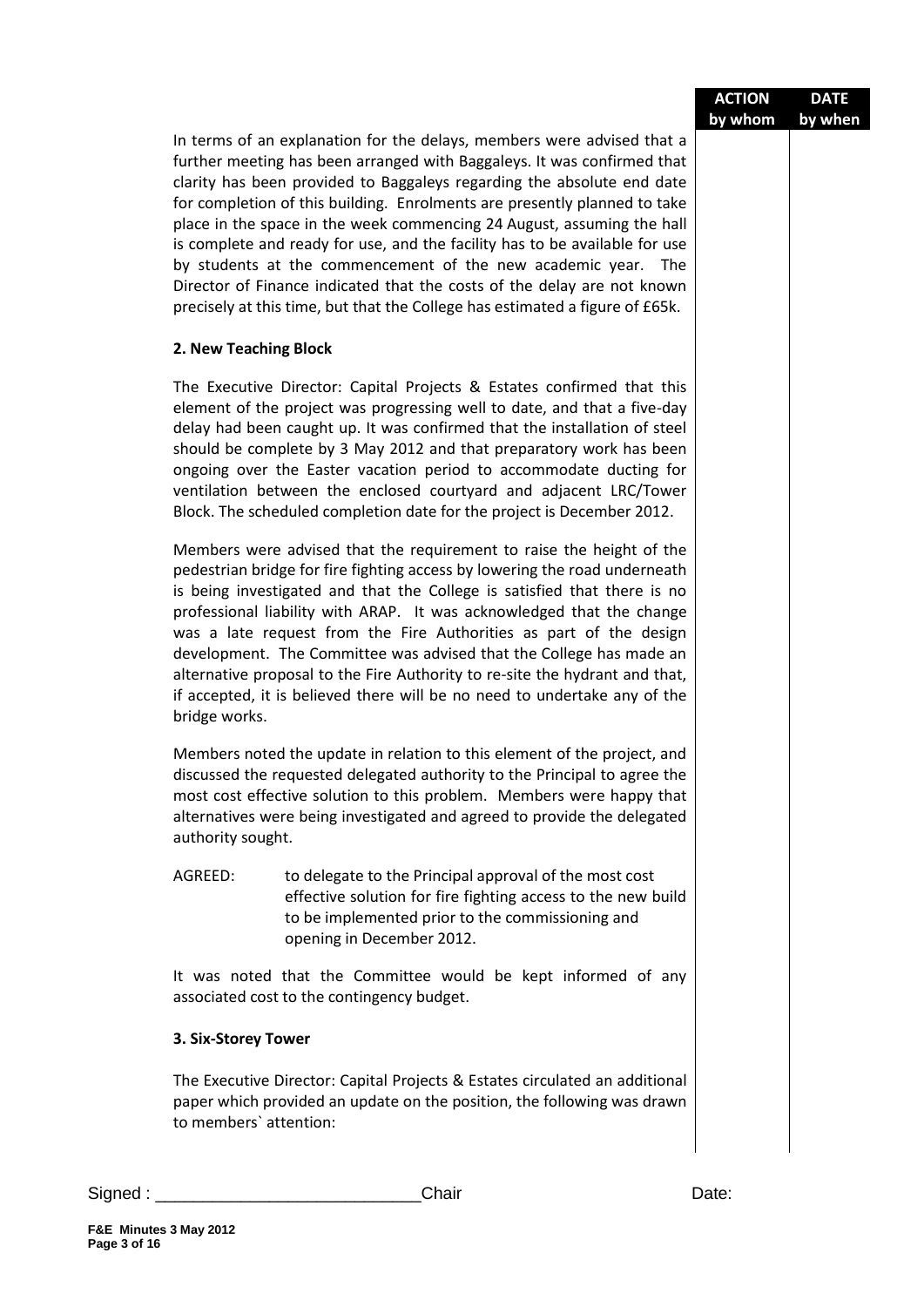|                                                                                                                                                                                                                                                                                                                                                                                                                                                                                                                                                                                                                                                                                               | by whom | by when |
|-----------------------------------------------------------------------------------------------------------------------------------------------------------------------------------------------------------------------------------------------------------------------------------------------------------------------------------------------------------------------------------------------------------------------------------------------------------------------------------------------------------------------------------------------------------------------------------------------------------------------------------------------------------------------------------------------|---------|---------|
| In terms of an explanation for the delays, members were advised that a<br>further meeting has been arranged with Baggaleys. It was confirmed that<br>clarity has been provided to Baggaleys regarding the absolute end date<br>for completion of this building. Enrolments are presently planned to take<br>place in the space in the week commencing 24 August, assuming the hall<br>is complete and ready for use, and the facility has to be available for use<br>by students at the commencement of the new academic year. The<br>Director of Finance indicated that the costs of the delay are not known<br>precisely at this time, but that the College has estimated a figure of £65k. |         |         |
| 2. New Teaching Block                                                                                                                                                                                                                                                                                                                                                                                                                                                                                                                                                                                                                                                                         |         |         |
| The Executive Director: Capital Projects & Estates confirmed that this<br>element of the project was progressing well to date, and that a five-day<br>delay had been caught up. It was confirmed that the installation of steel<br>should be complete by 3 May 2012 and that preparatory work has been<br>ongoing over the Easter vacation period to accommodate ducting for<br>ventilation between the enclosed courtyard and adjacent LRC/Tower<br>Block. The scheduled completion date for the project is December 2012.                                                                                                                                                                   |         |         |
| Members were advised that the requirement to raise the height of the<br>pedestrian bridge for fire fighting access by lowering the road underneath<br>is being investigated and that the College is satisfied that there is no<br>professional liability with ARAP. It was acknowledged that the change<br>was a late request from the Fire Authorities as part of the design<br>development. The Committee was advised that the College has made an<br>alternative proposal to the Fire Authority to re-site the hydrant and that,<br>if accepted, it is believed there will be no need to undertake any of the<br>bridge works.                                                             |         |         |
| Members noted the update in relation to this element of the project, and<br>discussed the requested delegated authority to the Principal to agree the<br>most cost effective solution to this problem. Members were happy that<br>alternatives were being investigated and agreed to provide the delegated<br>authority sought.                                                                                                                                                                                                                                                                                                                                                               |         |         |
| AGREED:<br>to delegate to the Principal approval of the most cost<br>effective solution for fire fighting access to the new build<br>to be implemented prior to the commissioning and<br>opening in December 2012.                                                                                                                                                                                                                                                                                                                                                                                                                                                                            |         |         |
| It was noted that the Committee would be kept informed of any<br>associated cost to the contingency budget.                                                                                                                                                                                                                                                                                                                                                                                                                                                                                                                                                                                   |         |         |
| 3. Six-Storey Tower                                                                                                                                                                                                                                                                                                                                                                                                                                                                                                                                                                                                                                                                           |         |         |
| The Executive Director: Capital Projects & Estates circulated an additional<br>paper which provided an update on the position, the following was drawn<br>to members' attention:                                                                                                                                                                                                                                                                                                                                                                                                                                                                                                              |         |         |

**ACTION**

**DATE**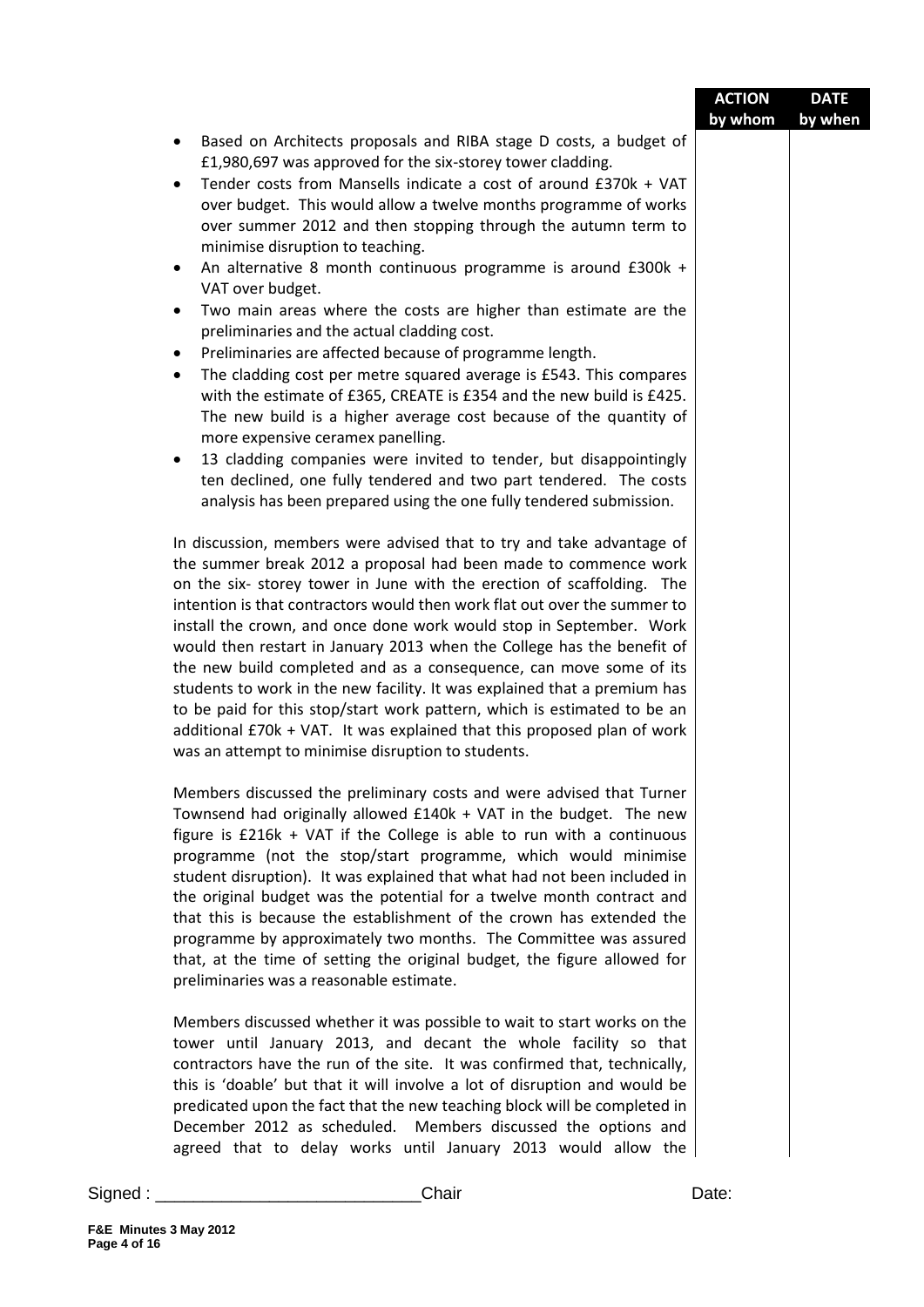|         |                                                                                                                                                                                                                                                                                                                                                                                                                                                                                                                                                                                                                                                             | <b>ACTION</b><br>by whom | <b>DATE</b><br>by when |
|---------|-------------------------------------------------------------------------------------------------------------------------------------------------------------------------------------------------------------------------------------------------------------------------------------------------------------------------------------------------------------------------------------------------------------------------------------------------------------------------------------------------------------------------------------------------------------------------------------------------------------------------------------------------------------|--------------------------|------------------------|
|         | Based on Architects proposals and RIBA stage D costs, a budget of<br>£1,980,697 was approved for the six-storey tower cladding.<br>Tender costs from Mansells indicate a cost of around £370k + VAT<br>over budget. This would allow a twelve months programme of works<br>over summer 2012 and then stopping through the autumn term to<br>minimise disruption to teaching.<br>An alternative 8 month continuous programme is around £300k +<br>VAT over budget.<br>Two main areas where the costs are higher than estimate are the<br>$\bullet$<br>preliminaries and the actual cladding cost.<br>Preliminaries are affected because of programme length. |                          |                        |
|         | The cladding cost per metre squared average is £543. This compares<br>with the estimate of £365, CREATE is £354 and the new build is £425.<br>The new build is a higher average cost because of the quantity of<br>more expensive ceramex panelling.<br>13 cladding companies were invited to tender, but disappointingly                                                                                                                                                                                                                                                                                                                                   |                          |                        |
|         | ten declined, one fully tendered and two part tendered. The costs<br>analysis has been prepared using the one fully tendered submission.<br>In discussion, members were advised that to try and take advantage of<br>the summer break 2012 a proposal had been made to commence work<br>on the six- storey tower in June with the erection of scaffolding. The<br>intention is that contractors would then work flat out over the summer to<br>install the crown, and once done work would stop in September. Work<br>would then restart in January 2013 when the College has the benefit of                                                                |                          |                        |
|         | the new build completed and as a consequence, can move some of its<br>students to work in the new facility. It was explained that a premium has<br>to be paid for this stop/start work pattern, which is estimated to be an<br>additional £70k + VAT. It was explained that this proposed plan of work<br>was an attempt to minimise disruption to students.<br>Members discussed the preliminary costs and were advised that Turner                                                                                                                                                                                                                        |                          |                        |
|         | Townsend had originally allowed £140k + VAT in the budget. The new<br>figure is £216k + VAT if the College is able to run with a continuous<br>programme (not the stop/start programme, which would minimise<br>student disruption). It was explained that what had not been included in<br>the original budget was the potential for a twelve month contract and<br>that this is because the establishment of the crown has extended the<br>programme by approximately two months. The Committee was assured<br>that, at the time of setting the original budget, the figure allowed for<br>preliminaries was a reasonable estimate.                       |                          |                        |
|         | Members discussed whether it was possible to wait to start works on the<br>tower until January 2013, and decant the whole facility so that<br>contractors have the run of the site. It was confirmed that, technically,<br>this is 'doable' but that it will involve a lot of disruption and would be<br>predicated upon the fact that the new teaching block will be completed in<br>December 2012 as scheduled. Members discussed the options and<br>agreed that to delay works until January 2013 would allow the                                                                                                                                        |                          |                        |
| Signed: | Chair                                                                                                                                                                                                                                                                                                                                                                                                                                                                                                                                                                                                                                                       | Date:                    |                        |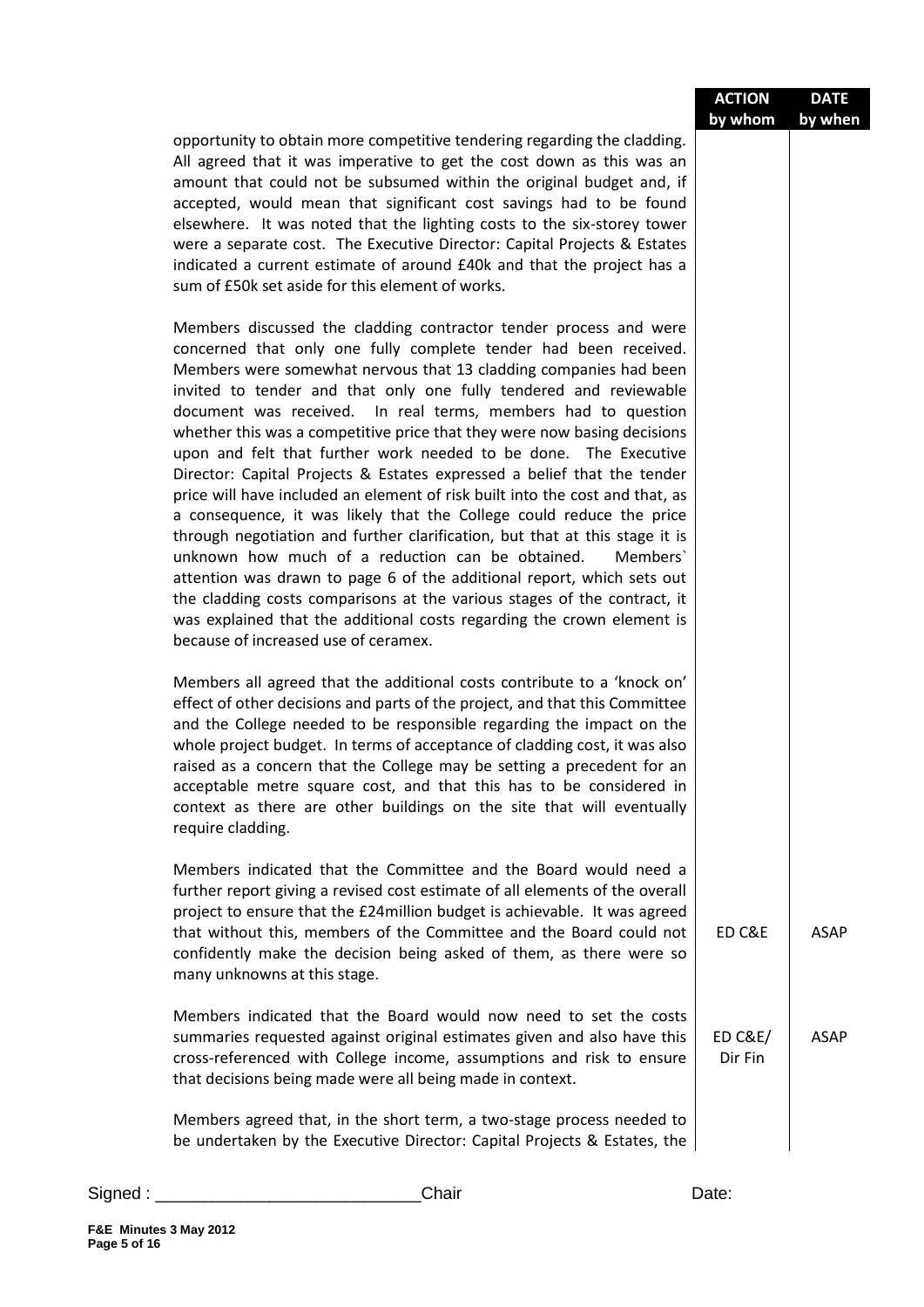|                                                                                                                                                                                                                                                                                                                                                                                                                                                                                                                                                                                                                                                                                                                                                                                                                                                                                                                                                                                                                                                                                                                                                           | <b>ACTION</b>                 | <b>DATE</b> |
|-----------------------------------------------------------------------------------------------------------------------------------------------------------------------------------------------------------------------------------------------------------------------------------------------------------------------------------------------------------------------------------------------------------------------------------------------------------------------------------------------------------------------------------------------------------------------------------------------------------------------------------------------------------------------------------------------------------------------------------------------------------------------------------------------------------------------------------------------------------------------------------------------------------------------------------------------------------------------------------------------------------------------------------------------------------------------------------------------------------------------------------------------------------|-------------------------------|-------------|
| opportunity to obtain more competitive tendering regarding the cladding.<br>All agreed that it was imperative to get the cost down as this was an<br>amount that could not be subsumed within the original budget and, if<br>accepted, would mean that significant cost savings had to be found<br>elsewhere. It was noted that the lighting costs to the six-storey tower<br>were a separate cost. The Executive Director: Capital Projects & Estates<br>indicated a current estimate of around £40k and that the project has a<br>sum of £50k set aside for this element of works.                                                                                                                                                                                                                                                                                                                                                                                                                                                                                                                                                                      | by whom                       | by when     |
| Members discussed the cladding contractor tender process and were<br>concerned that only one fully complete tender had been received.<br>Members were somewhat nervous that 13 cladding companies had been<br>invited to tender and that only one fully tendered and reviewable<br>document was received. In real terms, members had to question<br>whether this was a competitive price that they were now basing decisions<br>upon and felt that further work needed to be done. The Executive<br>Director: Capital Projects & Estates expressed a belief that the tender<br>price will have included an element of risk built into the cost and that, as<br>a consequence, it was likely that the College could reduce the price<br>through negotiation and further clarification, but that at this stage it is<br>unknown how much of a reduction can be obtained.<br>Members<br>attention was drawn to page 6 of the additional report, which sets out<br>the cladding costs comparisons at the various stages of the contract, it<br>was explained that the additional costs regarding the crown element is<br>because of increased use of ceramex. |                               |             |
| Members all agreed that the additional costs contribute to a 'knock on'<br>effect of other decisions and parts of the project, and that this Committee<br>and the College needed to be responsible regarding the impact on the<br>whole project budget. In terms of acceptance of cladding cost, it was also<br>raised as a concern that the College may be setting a precedent for an<br>acceptable metre square cost, and that this has to be considered in<br>context as there are other buildings on the site that will eventually<br>require cladding.                                                                                                                                                                                                                                                                                                                                                                                                                                                                                                                                                                                               |                               |             |
| Members indicated that the Committee and the Board would need a<br>further report giving a revised cost estimate of all elements of the overall<br>project to ensure that the £24 million budget is achievable. It was agreed<br>that without this, members of the Committee and the Board could not<br>confidently make the decision being asked of them, as there were so<br>many unknowns at this stage.                                                                                                                                                                                                                                                                                                                                                                                                                                                                                                                                                                                                                                                                                                                                               | ED C&E                        | <b>ASAP</b> |
| Members indicated that the Board would now need to set the costs<br>summaries requested against original estimates given and also have this<br>cross-referenced with College income, assumptions and risk to ensure<br>that decisions being made were all being made in context.                                                                                                                                                                                                                                                                                                                                                                                                                                                                                                                                                                                                                                                                                                                                                                                                                                                                          | <b>ED C&amp;E/</b><br>Dir Fin | <b>ASAP</b> |
| Members agreed that, in the short term, a two-stage process needed to<br>be undertaken by the Executive Director: Capital Projects & Estates, the                                                                                                                                                                                                                                                                                                                                                                                                                                                                                                                                                                                                                                                                                                                                                                                                                                                                                                                                                                                                         |                               |             |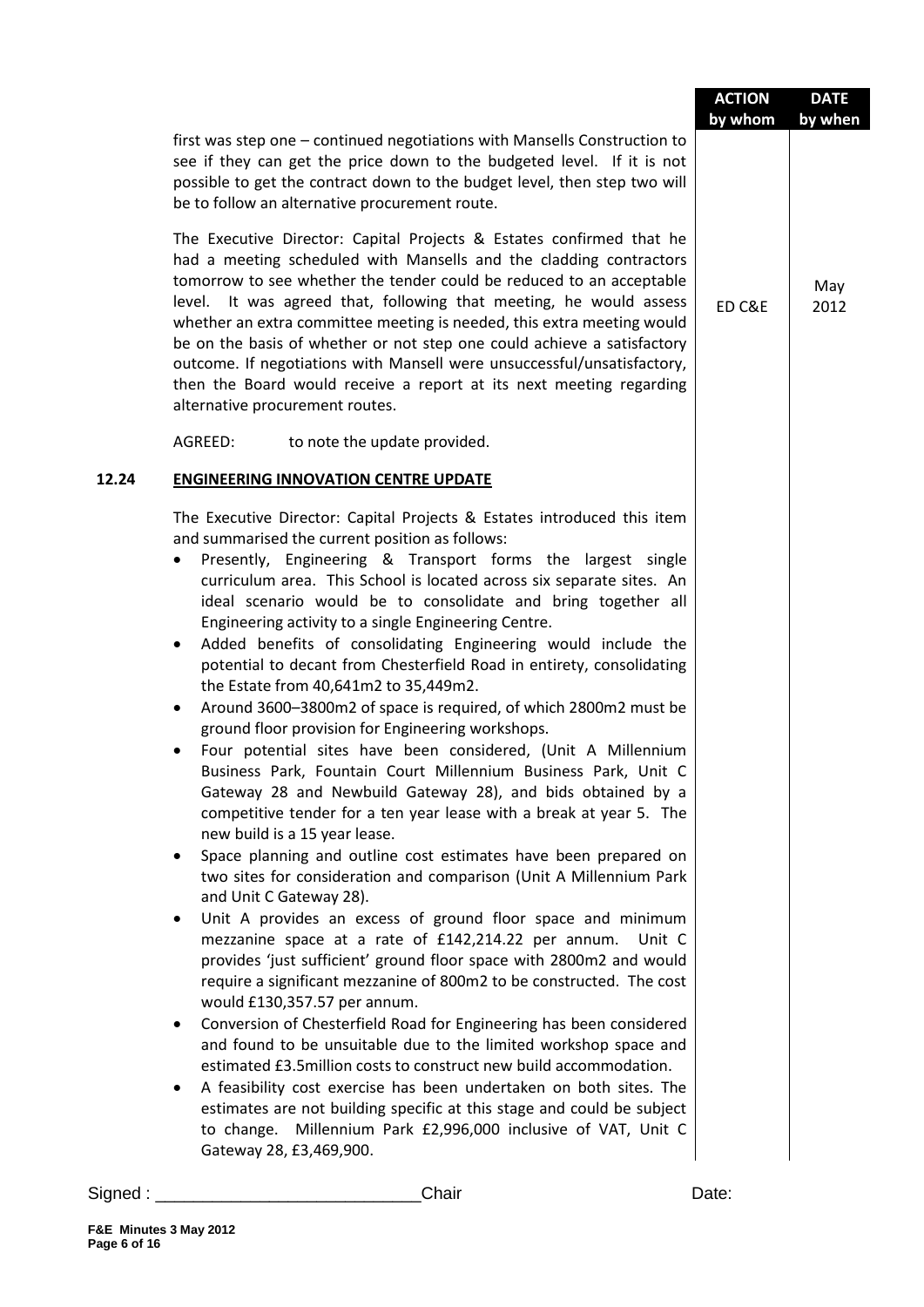|                                  |                                                                                                                                                                                                                                                                                                                                                                                                                                                                                                                                                                                                                                                                                                                                                                                                                                                                                                                                                                                                                                                                                                                                                                                                                                                                                                                                                                                                                                                                                                                                                                                                                                                                                                                                                                                                                                                                                                                                                                   | <b>ACTION</b><br>by whom | <b>DATE</b><br>by when |
|----------------------------------|-------------------------------------------------------------------------------------------------------------------------------------------------------------------------------------------------------------------------------------------------------------------------------------------------------------------------------------------------------------------------------------------------------------------------------------------------------------------------------------------------------------------------------------------------------------------------------------------------------------------------------------------------------------------------------------------------------------------------------------------------------------------------------------------------------------------------------------------------------------------------------------------------------------------------------------------------------------------------------------------------------------------------------------------------------------------------------------------------------------------------------------------------------------------------------------------------------------------------------------------------------------------------------------------------------------------------------------------------------------------------------------------------------------------------------------------------------------------------------------------------------------------------------------------------------------------------------------------------------------------------------------------------------------------------------------------------------------------------------------------------------------------------------------------------------------------------------------------------------------------------------------------------------------------------------------------------------------------|--------------------------|------------------------|
|                                  | first was step one – continued negotiations with Mansells Construction to<br>see if they can get the price down to the budgeted level. If it is not<br>possible to get the contract down to the budget level, then step two will<br>be to follow an alternative procurement route.                                                                                                                                                                                                                                                                                                                                                                                                                                                                                                                                                                                                                                                                                                                                                                                                                                                                                                                                                                                                                                                                                                                                                                                                                                                                                                                                                                                                                                                                                                                                                                                                                                                                                |                          |                        |
|                                  | The Executive Director: Capital Projects & Estates confirmed that he<br>had a meeting scheduled with Mansells and the cladding contractors<br>tomorrow to see whether the tender could be reduced to an acceptable<br>level. It was agreed that, following that meeting, he would assess<br>whether an extra committee meeting is needed, this extra meeting would<br>be on the basis of whether or not step one could achieve a satisfactory<br>outcome. If negotiations with Mansell were unsuccessful/unsatisfactory,<br>then the Board would receive a report at its next meeting regarding<br>alternative procurement routes.                                                                                                                                                                                                                                                                                                                                                                                                                                                                                                                                                                                                                                                                                                                                                                                                                                                                                                                                                                                                                                                                                                                                                                                                                                                                                                                                | ED C&E                   | May<br>2012            |
|                                  | AGREED:<br>to note the update provided.                                                                                                                                                                                                                                                                                                                                                                                                                                                                                                                                                                                                                                                                                                                                                                                                                                                                                                                                                                                                                                                                                                                                                                                                                                                                                                                                                                                                                                                                                                                                                                                                                                                                                                                                                                                                                                                                                                                           |                          |                        |
| 12.24                            | <b>ENGINEERING INNOVATION CENTRE UPDATE</b>                                                                                                                                                                                                                                                                                                                                                                                                                                                                                                                                                                                                                                                                                                                                                                                                                                                                                                                                                                                                                                                                                                                                                                                                                                                                                                                                                                                                                                                                                                                                                                                                                                                                                                                                                                                                                                                                                                                       |                          |                        |
| $\bullet$<br>٠<br>٠<br>$\bullet$ | The Executive Director: Capital Projects & Estates introduced this item<br>and summarised the current position as follows:<br>Presently, Engineering & Transport forms the largest single<br>curriculum area. This School is located across six separate sites. An<br>ideal scenario would be to consolidate and bring together all<br>Engineering activity to a single Engineering Centre.<br>Added benefits of consolidating Engineering would include the<br>potential to decant from Chesterfield Road in entirety, consolidating<br>the Estate from 40,641m2 to 35,449m2.<br>Around 3600-3800m2 of space is required, of which 2800m2 must be<br>ground floor provision for Engineering workshops.<br>Four potential sites have been considered, (Unit A Millennium<br>Business Park, Fountain Court Millennium Business Park, Unit C<br>Gateway 28 and Newbuild Gateway 28), and bids obtained by a<br>competitive tender for a ten year lease with a break at year 5. The<br>new build is a 15 year lease.<br>Space planning and outline cost estimates have been prepared on<br>two sites for consideration and comparison (Unit A Millennium Park<br>and Unit C Gateway 28).<br>Unit A provides an excess of ground floor space and minimum<br>mezzanine space at a rate of £142,214.22 per annum.<br>Unit C<br>provides 'just sufficient' ground floor space with 2800m2 and would<br>require a significant mezzanine of 800m2 to be constructed. The cost<br>would £130,357.57 per annum.<br>Conversion of Chesterfield Road for Engineering has been considered<br>and found to be unsuitable due to the limited workshop space and<br>estimated £3.5million costs to construct new build accommodation.<br>A feasibility cost exercise has been undertaken on both sites. The<br>estimates are not building specific at this stage and could be subject<br>to change. Millennium Park £2,996,000 inclusive of VAT, Unit C<br>Gateway 28, £3,469,900. |                          |                        |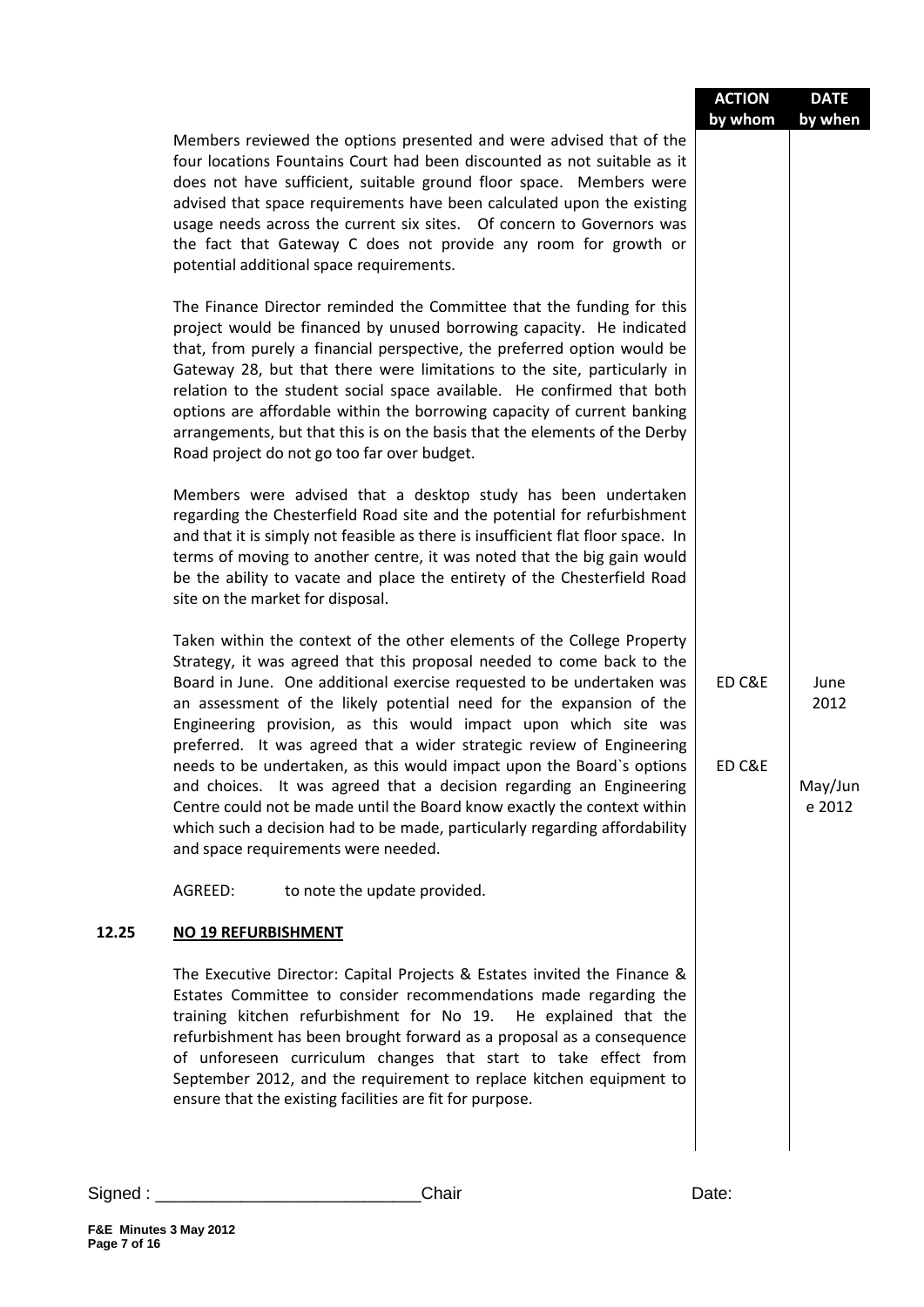|       |                                                                                                                                                                                                                                                                                                                                                                                                                                                                                                                                                                                                                                                                                                                                                                                              | <b>ACTION</b><br>by whom | <b>DATE</b><br>by when            |
|-------|----------------------------------------------------------------------------------------------------------------------------------------------------------------------------------------------------------------------------------------------------------------------------------------------------------------------------------------------------------------------------------------------------------------------------------------------------------------------------------------------------------------------------------------------------------------------------------------------------------------------------------------------------------------------------------------------------------------------------------------------------------------------------------------------|--------------------------|-----------------------------------|
|       | Members reviewed the options presented and were advised that of the<br>four locations Fountains Court had been discounted as not suitable as it<br>does not have sufficient, suitable ground floor space. Members were<br>advised that space requirements have been calculated upon the existing<br>usage needs across the current six sites.  Of concern to Governors was<br>the fact that Gateway C does not provide any room for growth or<br>potential additional space requirements.                                                                                                                                                                                                                                                                                                    |                          |                                   |
|       | The Finance Director reminded the Committee that the funding for this<br>project would be financed by unused borrowing capacity. He indicated<br>that, from purely a financial perspective, the preferred option would be<br>Gateway 28, but that there were limitations to the site, particularly in<br>relation to the student social space available. He confirmed that both<br>options are affordable within the borrowing capacity of current banking<br>arrangements, but that this is on the basis that the elements of the Derby<br>Road project do not go too far over budget.                                                                                                                                                                                                      |                          |                                   |
|       | Members were advised that a desktop study has been undertaken<br>regarding the Chesterfield Road site and the potential for refurbishment<br>and that it is simply not feasible as there is insufficient flat floor space. In<br>terms of moving to another centre, it was noted that the big gain would<br>be the ability to vacate and place the entirety of the Chesterfield Road<br>site on the market for disposal.                                                                                                                                                                                                                                                                                                                                                                     |                          |                                   |
|       | Taken within the context of the other elements of the College Property<br>Strategy, it was agreed that this proposal needed to come back to the<br>Board in June. One additional exercise requested to be undertaken was<br>an assessment of the likely potential need for the expansion of the<br>Engineering provision, as this would impact upon which site was<br>preferred. It was agreed that a wider strategic review of Engineering<br>needs to be undertaken, as this would impact upon the Board's options<br>and choices. It was agreed that a decision regarding an Engineering<br>Centre could not be made until the Board know exactly the context within<br>which such a decision had to be made, particularly regarding affordability<br>and space requirements were needed. | ED C&E<br>ED C&E         | June<br>2012<br>May/Jun<br>e 2012 |
|       | AGREED:<br>to note the update provided.                                                                                                                                                                                                                                                                                                                                                                                                                                                                                                                                                                                                                                                                                                                                                      |                          |                                   |
| 12.25 | NO 19 REFURBISHMENT                                                                                                                                                                                                                                                                                                                                                                                                                                                                                                                                                                                                                                                                                                                                                                          |                          |                                   |
|       | The Executive Director: Capital Projects & Estates invited the Finance &<br>Estates Committee to consider recommendations made regarding the<br>training kitchen refurbishment for No 19. He explained that the<br>refurbishment has been brought forward as a proposal as a consequence<br>of unforeseen curriculum changes that start to take effect from<br>September 2012, and the requirement to replace kitchen equipment to<br>ensure that the existing facilities are fit for purpose.                                                                                                                                                                                                                                                                                               |                          |                                   |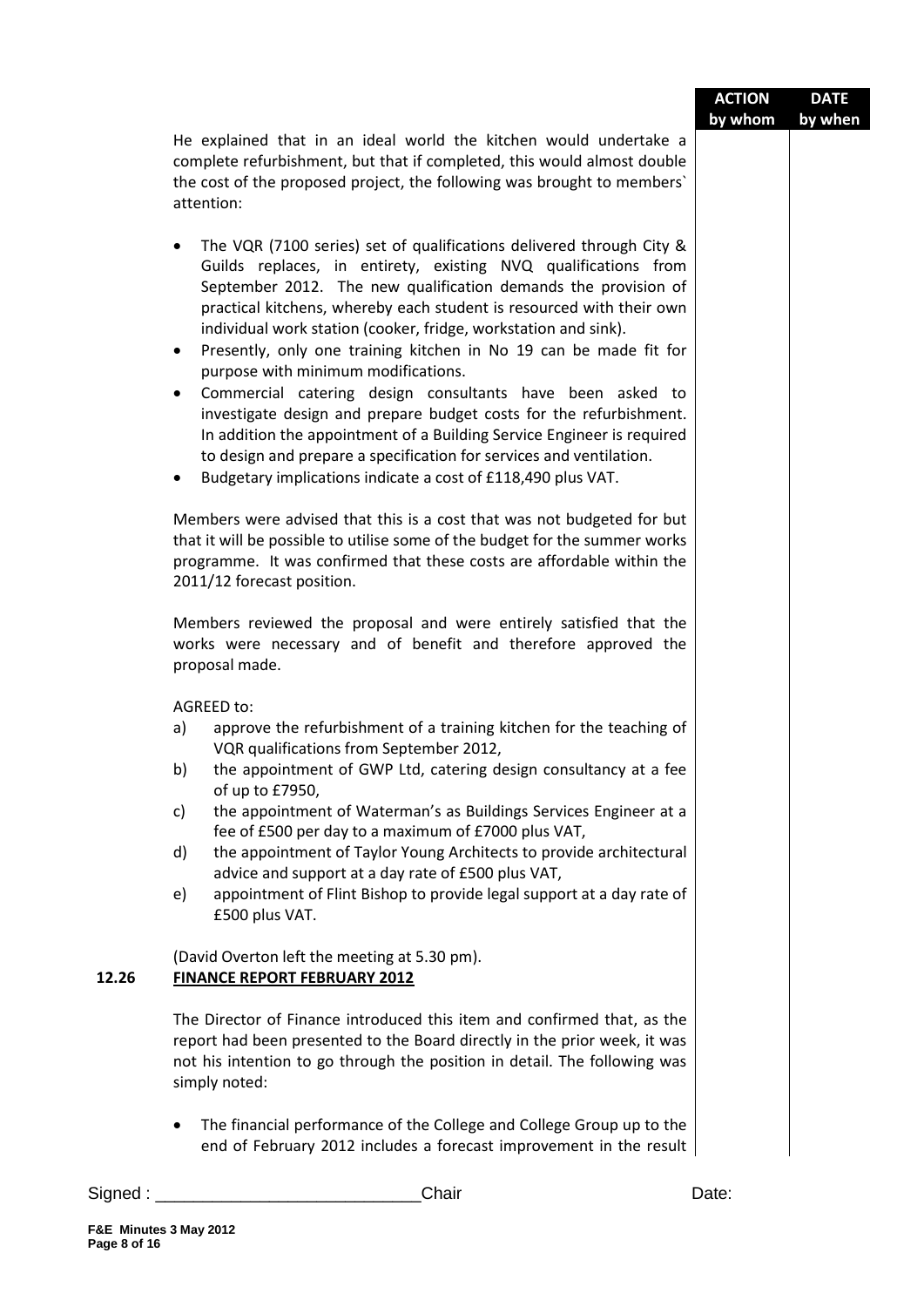|          |                                                                                                                                                                                                                                                                                                                                                                                                                                                                                                                                                                                                                                                                                                                                                                                                                                                                         | <b>ACTION</b> | <b>DATE</b> |
|----------|-------------------------------------------------------------------------------------------------------------------------------------------------------------------------------------------------------------------------------------------------------------------------------------------------------------------------------------------------------------------------------------------------------------------------------------------------------------------------------------------------------------------------------------------------------------------------------------------------------------------------------------------------------------------------------------------------------------------------------------------------------------------------------------------------------------------------------------------------------------------------|---------------|-------------|
|          | He explained that in an ideal world the kitchen would undertake a<br>complete refurbishment, but that if completed, this would almost double                                                                                                                                                                                                                                                                                                                                                                                                                                                                                                                                                                                                                                                                                                                            | by whom       | by when     |
|          | the cost of the proposed project, the following was brought to members'<br>attention:                                                                                                                                                                                                                                                                                                                                                                                                                                                                                                                                                                                                                                                                                                                                                                                   |               |             |
|          | The VQR (7100 series) set of qualifications delivered through City &<br>$\bullet$<br>Guilds replaces, in entirety, existing NVQ qualifications from<br>September 2012. The new qualification demands the provision of<br>practical kitchens, whereby each student is resourced with their own<br>individual work station (cooker, fridge, workstation and sink).<br>Presently, only one training kitchen in No 19 can be made fit for<br>$\bullet$<br>purpose with minimum modifications.<br>Commercial catering design consultants have been asked to<br>$\bullet$<br>investigate design and prepare budget costs for the refurbishment.<br>In addition the appointment of a Building Service Engineer is required<br>to design and prepare a specification for services and ventilation.<br>Budgetary implications indicate a cost of £118,490 plus VAT.<br>$\bullet$ |               |             |
|          | Members were advised that this is a cost that was not budgeted for but<br>that it will be possible to utilise some of the budget for the summer works<br>programme. It was confirmed that these costs are affordable within the<br>2011/12 forecast position.                                                                                                                                                                                                                                                                                                                                                                                                                                                                                                                                                                                                           |               |             |
|          | Members reviewed the proposal and were entirely satisfied that the<br>works were necessary and of benefit and therefore approved the<br>proposal made.                                                                                                                                                                                                                                                                                                                                                                                                                                                                                                                                                                                                                                                                                                                  |               |             |
|          | <b>AGREED to:</b>                                                                                                                                                                                                                                                                                                                                                                                                                                                                                                                                                                                                                                                                                                                                                                                                                                                       |               |             |
|          | a)<br>approve the refurbishment of a training kitchen for the teaching of<br>VQR qualifications from September 2012,                                                                                                                                                                                                                                                                                                                                                                                                                                                                                                                                                                                                                                                                                                                                                    |               |             |
|          | the appointment of GWP Ltd, catering design consultancy at a fee<br>b)<br>of up to £7950,                                                                                                                                                                                                                                                                                                                                                                                                                                                                                                                                                                                                                                                                                                                                                                               |               |             |
|          | the appointment of Waterman's as Buildings Services Engineer at a<br>c)<br>fee of £500 per day to a maximum of £7000 plus VAT,                                                                                                                                                                                                                                                                                                                                                                                                                                                                                                                                                                                                                                                                                                                                          |               |             |
|          | the appointment of Taylor Young Architects to provide architectural<br>d)<br>advice and support at a day rate of £500 plus VAT,                                                                                                                                                                                                                                                                                                                                                                                                                                                                                                                                                                                                                                                                                                                                         |               |             |
|          | appointment of Flint Bishop to provide legal support at a day rate of<br>e)<br>£500 plus VAT.                                                                                                                                                                                                                                                                                                                                                                                                                                                                                                                                                                                                                                                                                                                                                                           |               |             |
| 12.26    | (David Overton left the meeting at 5.30 pm).<br><b>FINANCE REPORT FEBRUARY 2012</b>                                                                                                                                                                                                                                                                                                                                                                                                                                                                                                                                                                                                                                                                                                                                                                                     |               |             |
|          | The Director of Finance introduced this item and confirmed that, as the<br>report had been presented to the Board directly in the prior week, it was<br>not his intention to go through the position in detail. The following was<br>simply noted:                                                                                                                                                                                                                                                                                                                                                                                                                                                                                                                                                                                                                      |               |             |
|          | The financial performance of the College and College Group up to the<br>$\bullet$<br>end of February 2012 includes a forecast improvement in the result                                                                                                                                                                                                                                                                                                                                                                                                                                                                                                                                                                                                                                                                                                                 |               |             |
| Signed : | Chair                                                                                                                                                                                                                                                                                                                                                                                                                                                                                                                                                                                                                                                                                                                                                                                                                                                                   | Date:         |             |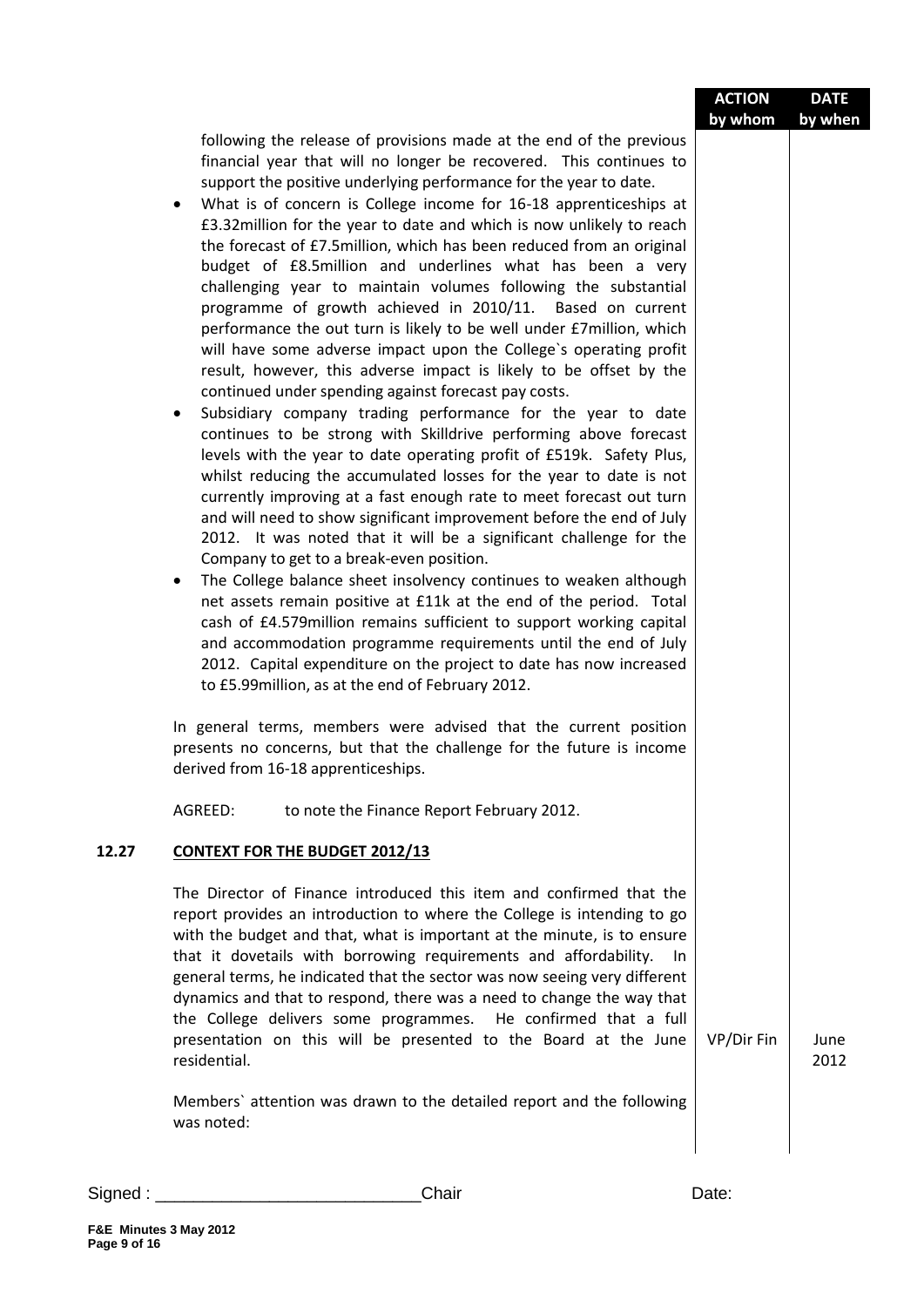|       |                                                                                                                                                                                                                                                                                                                                                                                                                                                                                                                                                                                                                                                                                                                                                                                                                                                                                                                                                                                                                                                                                                                                                                                                                                                                                                                                                                                                                                                                                                                                                                                                                                                                                                                                                                                                                                                                                                                                                                                                                                                                                               | <b>ACTION</b><br>by whom | <b>DATE</b><br>by when |
|-------|-----------------------------------------------------------------------------------------------------------------------------------------------------------------------------------------------------------------------------------------------------------------------------------------------------------------------------------------------------------------------------------------------------------------------------------------------------------------------------------------------------------------------------------------------------------------------------------------------------------------------------------------------------------------------------------------------------------------------------------------------------------------------------------------------------------------------------------------------------------------------------------------------------------------------------------------------------------------------------------------------------------------------------------------------------------------------------------------------------------------------------------------------------------------------------------------------------------------------------------------------------------------------------------------------------------------------------------------------------------------------------------------------------------------------------------------------------------------------------------------------------------------------------------------------------------------------------------------------------------------------------------------------------------------------------------------------------------------------------------------------------------------------------------------------------------------------------------------------------------------------------------------------------------------------------------------------------------------------------------------------------------------------------------------------------------------------------------------------|--------------------------|------------------------|
|       | following the release of provisions made at the end of the previous<br>financial year that will no longer be recovered. This continues to<br>support the positive underlying performance for the year to date.<br>What is of concern is College income for 16-18 apprenticeships at<br>$\bullet$<br>£3.32million for the year to date and which is now unlikely to reach<br>the forecast of £7.5million, which has been reduced from an original<br>budget of £8.5million and underlines what has been a very<br>challenging year to maintain volumes following the substantial<br>programme of growth achieved in 2010/11. Based on current<br>performance the out turn is likely to be well under £7million, which<br>will have some adverse impact upon the College's operating profit<br>result, however, this adverse impact is likely to be offset by the<br>continued under spending against forecast pay costs.<br>Subsidiary company trading performance for the year to date<br>٠<br>continues to be strong with Skilldrive performing above forecast<br>levels with the year to date operating profit of £519k. Safety Plus,<br>whilst reducing the accumulated losses for the year to date is not<br>currently improving at a fast enough rate to meet forecast out turn<br>and will need to show significant improvement before the end of July<br>2012. It was noted that it will be a significant challenge for the<br>Company to get to a break-even position.<br>The College balance sheet insolvency continues to weaken although<br>$\bullet$<br>net assets remain positive at £11k at the end of the period. Total<br>cash of £4.579million remains sufficient to support working capital<br>and accommodation programme requirements until the end of July<br>2012. Capital expenditure on the project to date has now increased<br>to £5.99million, as at the end of February 2012.<br>In general terms, members were advised that the current position<br>presents no concerns, but that the challenge for the future is income<br>derived from 16-18 apprenticeships. |                          |                        |
|       | AGREED:<br>to note the Finance Report February 2012.                                                                                                                                                                                                                                                                                                                                                                                                                                                                                                                                                                                                                                                                                                                                                                                                                                                                                                                                                                                                                                                                                                                                                                                                                                                                                                                                                                                                                                                                                                                                                                                                                                                                                                                                                                                                                                                                                                                                                                                                                                          |                          |                        |
| 12.27 | <b>CONTEXT FOR THE BUDGET 2012/13</b>                                                                                                                                                                                                                                                                                                                                                                                                                                                                                                                                                                                                                                                                                                                                                                                                                                                                                                                                                                                                                                                                                                                                                                                                                                                                                                                                                                                                                                                                                                                                                                                                                                                                                                                                                                                                                                                                                                                                                                                                                                                         |                          |                        |
|       | The Director of Finance introduced this item and confirmed that the<br>report provides an introduction to where the College is intending to go<br>with the budget and that, what is important at the minute, is to ensure<br>that it dovetails with borrowing requirements and affordability.<br>In<br>general terms, he indicated that the sector was now seeing very different<br>dynamics and that to respond, there was a need to change the way that<br>the College delivers some programmes. He confirmed that a full<br>presentation on this will be presented to the Board at the June<br>residential.<br>Members' attention was drawn to the detailed report and the following<br>was noted:                                                                                                                                                                                                                                                                                                                                                                                                                                                                                                                                                                                                                                                                                                                                                                                                                                                                                                                                                                                                                                                                                                                                                                                                                                                                                                                                                                                         | VP/Dir Fin               | June<br>2012           |
|       |                                                                                                                                                                                                                                                                                                                                                                                                                                                                                                                                                                                                                                                                                                                                                                                                                                                                                                                                                                                                                                                                                                                                                                                                                                                                                                                                                                                                                                                                                                                                                                                                                                                                                                                                                                                                                                                                                                                                                                                                                                                                                               |                          |                        |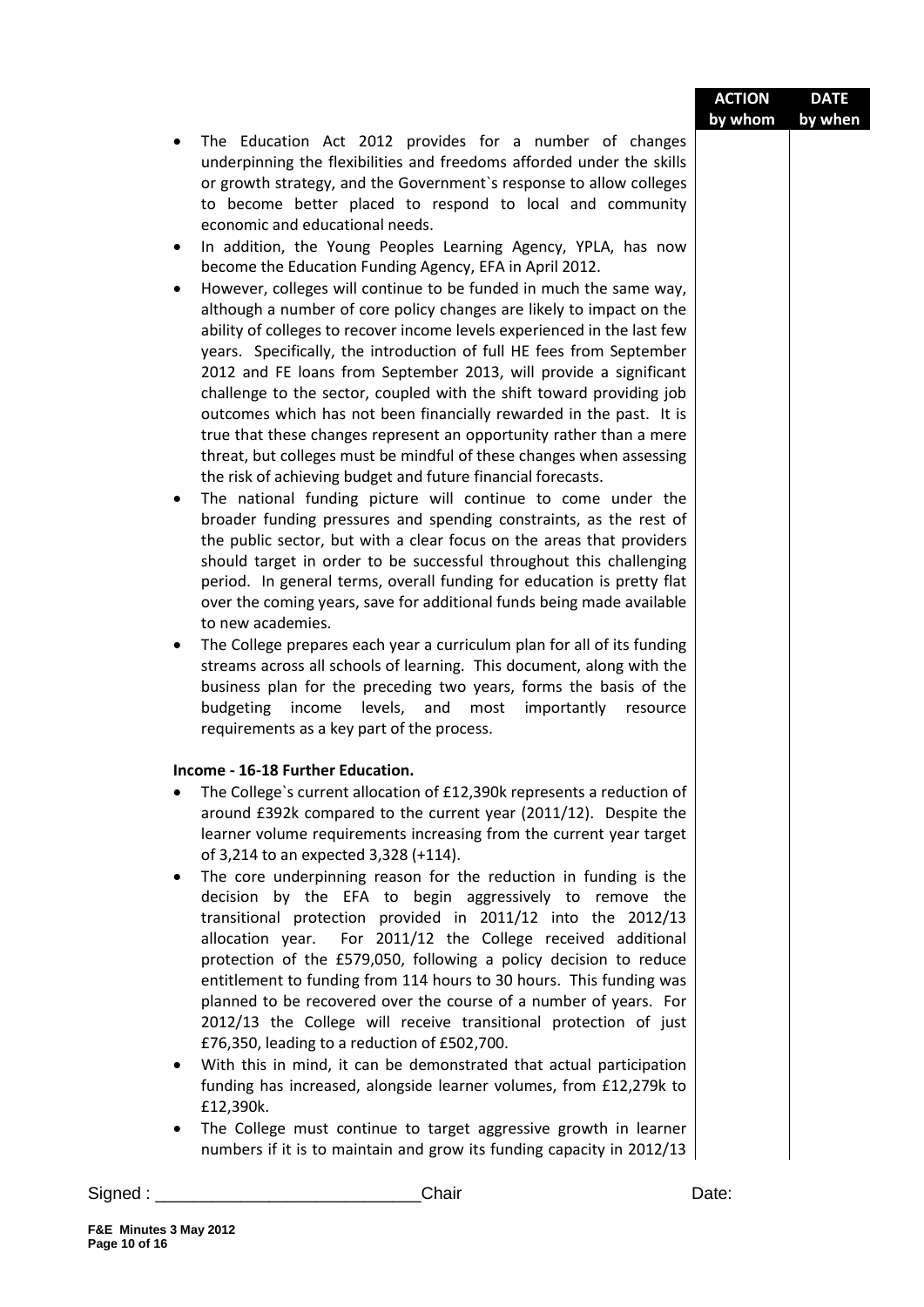| <b>ACTION</b> | <b>DATE</b> |
|---------------|-------------|
| by whom       | by when     |

- The Education Act 2012 provides for a number of changes underpinning the flexibilities and freedoms afforded under the skills or growth strategy, and the Government`s response to allow colleges to become better placed to respond to local and community economic and educational needs.
- In addition, the Young Peoples Learning Agency, YPLA, has now become the Education Funding Agency, EFA in April 2012.
- However, colleges will continue to be funded in much the same way, although a number of core policy changes are likely to impact on the ability of colleges to recover income levels experienced in the last few years. Specifically, the introduction of full HE fees from September 2012 and FE loans from September 2013, will provide a significant challenge to the sector, coupled with the shift toward providing job outcomes which has not been financially rewarded in the past. It is true that these changes represent an opportunity rather than a mere threat, but colleges must be mindful of these changes when assessing the risk of achieving budget and future financial forecasts.
- The national funding picture will continue to come under the broader funding pressures and spending constraints, as the rest of the public sector, but with a clear focus on the areas that providers should target in order to be successful throughout this challenging period. In general terms, overall funding for education is pretty flat over the coming years, save for additional funds being made available to new academies.
- The College prepares each year a curriculum plan for all of its funding streams across all schools of learning. This document, along with the business plan for the preceding two years, forms the basis of the budgeting income levels, and most importantly resource requirements as a key part of the process.

#### **Income - 16-18 Further Education.**

- The College`s current allocation of £12,390k represents a reduction of around £392k compared to the current year (2011/12). Despite the learner volume requirements increasing from the current year target of 3,214 to an expected 3,328 (+114).
- The core underpinning reason for the reduction in funding is the decision by the EFA to begin aggressively to remove the transitional protection provided in 2011/12 into the 2012/13 allocation year. For 2011/12 the College received additional protection of the £579,050, following a policy decision to reduce entitlement to funding from 114 hours to 30 hours. This funding was planned to be recovered over the course of a number of years. For 2012/13 the College will receive transitional protection of just £76,350, leading to a reduction of £502,700.
- With this in mind, it can be demonstrated that actual participation funding has increased, alongside learner volumes, from £12,279k to £12,390k.
- The College must continue to target aggressive growth in learner numbers if it is to maintain and grow its funding capacity in 2012/13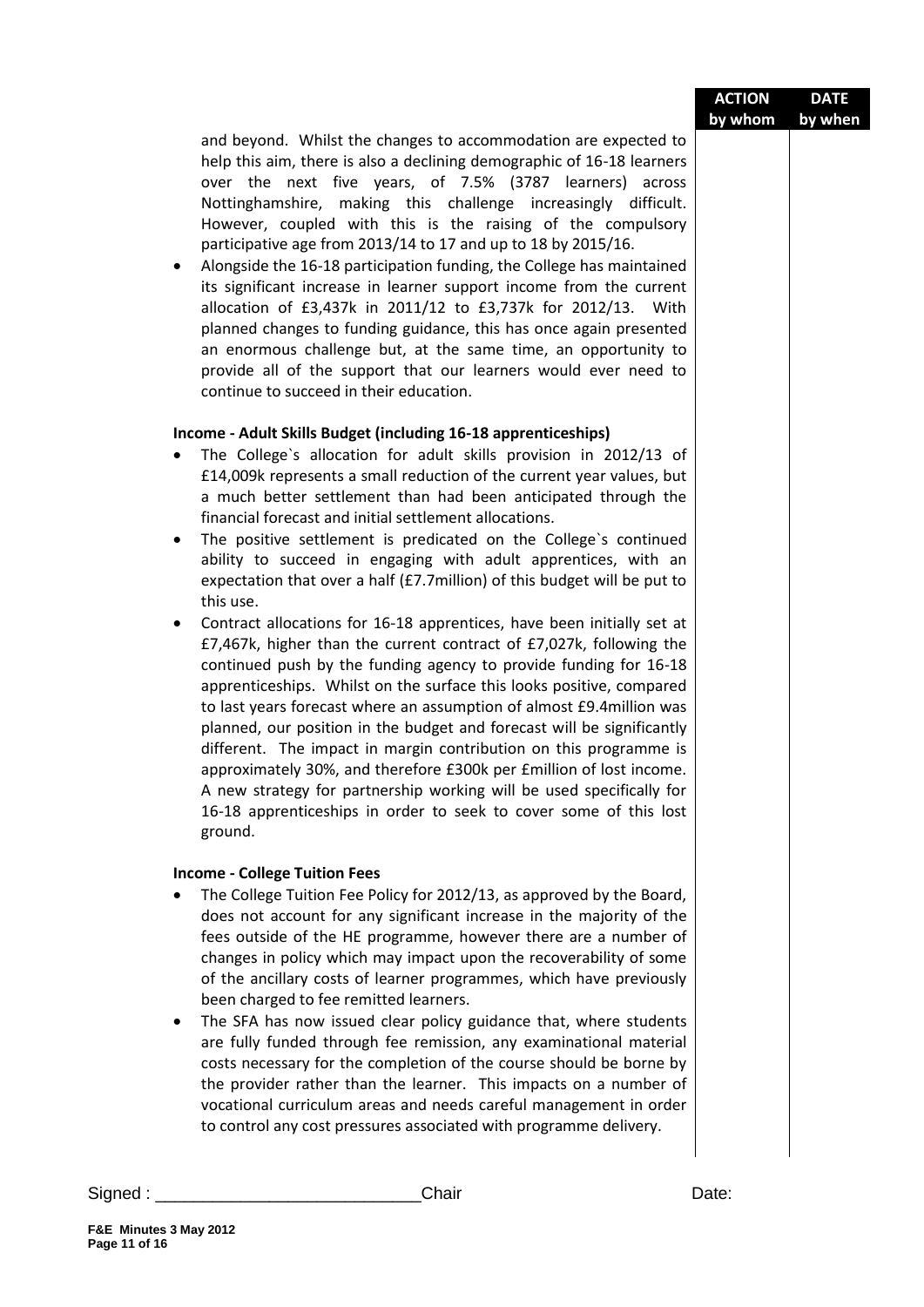| <b>ACTION</b> | <b>DATE</b> |
|---------------|-------------|
| by whom       | by when     |

and beyond. Whilst the changes to accommodation are expected to help this aim, there is also a declining demographic of 16-18 learners over the next five years, of 7.5% (3787 learners) across Nottinghamshire, making this challenge increasingly difficult. However, coupled with this is the raising of the compulsory participative age from 2013/14 to 17 and up to 18 by 2015/16.

 Alongside the 16-18 participation funding, the College has maintained its significant increase in learner support income from the current allocation of £3,437k in 2011/12 to £3,737k for 2012/13. With planned changes to funding guidance, this has once again presented an enormous challenge but, at the same time, an opportunity to provide all of the support that our learners would ever need to continue to succeed in their education.

#### **Income - Adult Skills Budget (including 16-18 apprenticeships)**

- The College`s allocation for adult skills provision in 2012/13 of £14,009k represents a small reduction of the current year values, but a much better settlement than had been anticipated through the financial forecast and initial settlement allocations.
- The positive settlement is predicated on the College`s continued ability to succeed in engaging with adult apprentices, with an expectation that over a half (£7.7million) of this budget will be put to this use.
- Contract allocations for 16-18 apprentices, have been initially set at £7,467k, higher than the current contract of £7,027k, following the continued push by the funding agency to provide funding for 16-18 apprenticeships. Whilst on the surface this looks positive, compared to last years forecast where an assumption of almost £9.4million was planned, our position in the budget and forecast will be significantly different. The impact in margin contribution on this programme is approximately 30%, and therefore £300k per £million of lost income. A new strategy for partnership working will be used specifically for 16-18 apprenticeships in order to seek to cover some of this lost ground.

#### **Income - College Tuition Fees**

- The College Tuition Fee Policy for 2012/13, as approved by the Board, does not account for any significant increase in the majority of the fees outside of the HE programme, however there are a number of changes in policy which may impact upon the recoverability of some of the ancillary costs of learner programmes, which have previously been charged to fee remitted learners.
- The SFA has now issued clear policy guidance that, where students are fully funded through fee remission, any examinational material costs necessary for the completion of the course should be borne by the provider rather than the learner. This impacts on a number of vocational curriculum areas and needs careful management in order to control any cost pressures associated with programme delivery.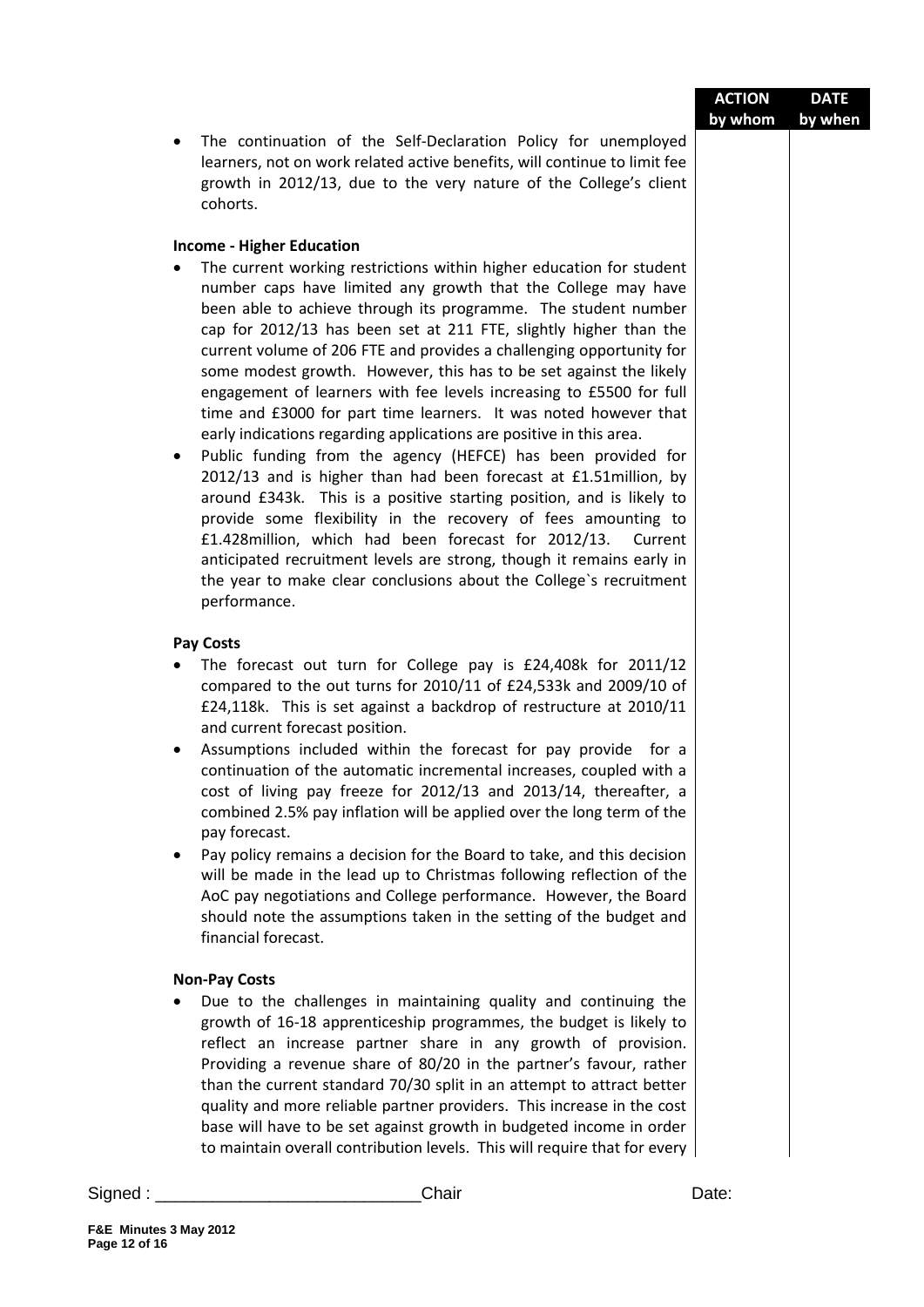| <b>ACTION</b> | <b>DATE</b> |
|---------------|-------------|
| by whom       | by when     |

 The continuation of the Self-Declaration Policy for unemployed learners, not on work related active benefits, will continue to limit fee growth in 2012/13, due to the very nature of the College's client cohorts.

#### **Income - Higher Education**

- The current working restrictions within higher education for student number caps have limited any growth that the College may have been able to achieve through its programme. The student number cap for 2012/13 has been set at 211 FTE, slightly higher than the current volume of 206 FTE and provides a challenging opportunity for some modest growth. However, this has to be set against the likely engagement of learners with fee levels increasing to £5500 for full time and £3000 for part time learners. It was noted however that early indications regarding applications are positive in this area.
- Public funding from the agency (HEFCE) has been provided for 2012/13 and is higher than had been forecast at £1.51million, by around £343k. This is a positive starting position, and is likely to provide some flexibility in the recovery of fees amounting to £1.428million, which had been forecast for 2012/13. Current anticipated recruitment levels are strong, though it remains early in the year to make clear conclusions about the College`s recruitment performance.

#### **Pay Costs**

- The forecast out turn for College pay is £24,408k for 2011/12 compared to the out turns for 2010/11 of £24,533k and 2009/10 of £24,118k. This is set against a backdrop of restructure at 2010/11 and current forecast position.
- Assumptions included within the forecast for pay provide for a continuation of the automatic incremental increases, coupled with a cost of living pay freeze for 2012/13 and 2013/14, thereafter, a combined 2.5% pay inflation will be applied over the long term of the pay forecast.
- Pay policy remains a decision for the Board to take, and this decision will be made in the lead up to Christmas following reflection of the AoC pay negotiations and College performance. However, the Board should note the assumptions taken in the setting of the budget and financial forecast.

#### **Non-Pay Costs**

 Due to the challenges in maintaining quality and continuing the growth of 16-18 apprenticeship programmes, the budget is likely to reflect an increase partner share in any growth of provision. Providing a revenue share of 80/20 in the partner's favour, rather than the current standard 70/30 split in an attempt to attract better quality and more reliable partner providers. This increase in the cost base will have to be set against growth in budgeted income in order to maintain overall contribution levels. This will require that for every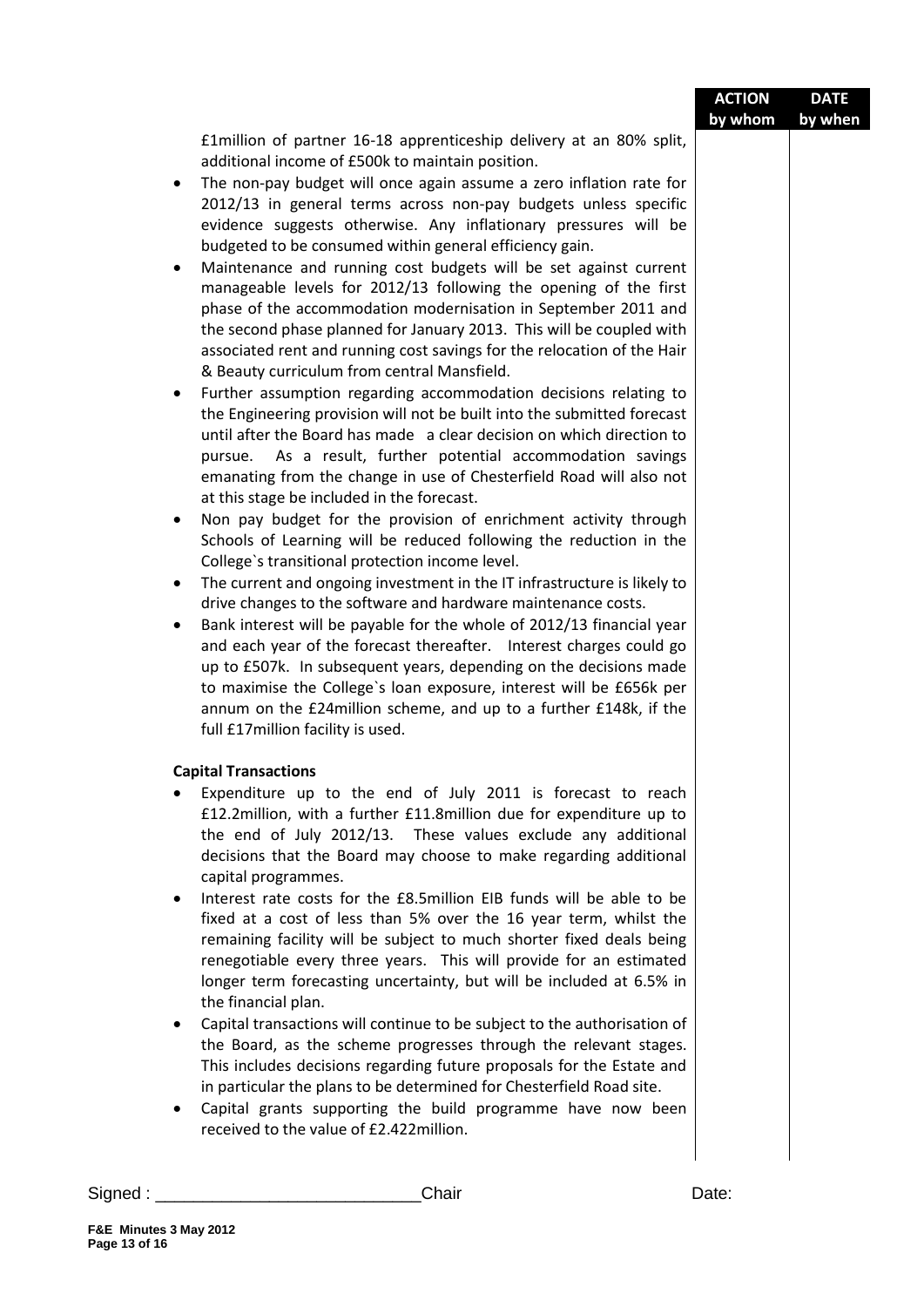|               |                                                                                                                                                                                                                                                                                                                                                                                                                                                                                                                                                                                                                                                                                                                                                                                                                                                                                                                                                                                                                                                                                                                                                                                                                                                                                                                                                                                                                                                                                                                                                                                                                                                                                                                                                                                                                                                                                                                                                                                                                        | <b>ACTION</b><br>by whom | <b>DATE</b><br>by when |
|---------------|------------------------------------------------------------------------------------------------------------------------------------------------------------------------------------------------------------------------------------------------------------------------------------------------------------------------------------------------------------------------------------------------------------------------------------------------------------------------------------------------------------------------------------------------------------------------------------------------------------------------------------------------------------------------------------------------------------------------------------------------------------------------------------------------------------------------------------------------------------------------------------------------------------------------------------------------------------------------------------------------------------------------------------------------------------------------------------------------------------------------------------------------------------------------------------------------------------------------------------------------------------------------------------------------------------------------------------------------------------------------------------------------------------------------------------------------------------------------------------------------------------------------------------------------------------------------------------------------------------------------------------------------------------------------------------------------------------------------------------------------------------------------------------------------------------------------------------------------------------------------------------------------------------------------------------------------------------------------------------------------------------------------|--------------------------|------------------------|
|               | £1 million of partner 16-18 apprenticeship delivery at an 80% split,<br>additional income of £500k to maintain position.<br>The non-pay budget will once again assume a zero inflation rate for<br>$\bullet$<br>2012/13 in general terms across non-pay budgets unless specific<br>evidence suggests otherwise. Any inflationary pressures will be<br>budgeted to be consumed within general efficiency gain.<br>Maintenance and running cost budgets will be set against current<br>٠<br>manageable levels for 2012/13 following the opening of the first<br>phase of the accommodation modernisation in September 2011 and<br>the second phase planned for January 2013. This will be coupled with<br>associated rent and running cost savings for the relocation of the Hair<br>& Beauty curriculum from central Mansfield.<br>Further assumption regarding accommodation decisions relating to<br>٠<br>the Engineering provision will not be built into the submitted forecast<br>until after the Board has made a clear decision on which direction to<br>pursue. As a result, further potential accommodation savings<br>emanating from the change in use of Chesterfield Road will also not<br>at this stage be included in the forecast.<br>Non pay budget for the provision of enrichment activity through<br>٠<br>Schools of Learning will be reduced following the reduction in the<br>College's transitional protection income level.<br>The current and ongoing investment in the IT infrastructure is likely to<br>$\bullet$<br>drive changes to the software and hardware maintenance costs.<br>Bank interest will be payable for the whole of 2012/13 financial year<br>٠<br>and each year of the forecast thereafter. Interest charges could go<br>up to £507k. In subsequent years, depending on the decisions made<br>to maximise the College's loan exposure, interest will be £656k per<br>annum on the £24million scheme, and up to a further £148k, if the<br>full £17million facility is used. |                          |                        |
|               | <b>Capital Transactions</b><br>Expenditure up to the end of July 2011 is forecast to reach<br>£12.2 million, with a further £11.8 million due for expenditure up to<br>the end of July 2012/13. These values exclude any additional<br>decisions that the Board may choose to make regarding additional<br>capital programmes.<br>Interest rate costs for the £8.5 million EIB funds will be able to be<br>$\bullet$<br>fixed at a cost of less than 5% over the 16 year term, whilst the<br>remaining facility will be subject to much shorter fixed deals being<br>renegotiable every three years. This will provide for an estimated<br>longer term forecasting uncertainty, but will be included at 6.5% in<br>the financial plan.<br>Capital transactions will continue to be subject to the authorisation of<br>٠<br>the Board, as the scheme progresses through the relevant stages.<br>This includes decisions regarding future proposals for the Estate and<br>in particular the plans to be determined for Chesterfield Road site.<br>Capital grants supporting the build programme have now been<br>٠<br>received to the value of £2.422 million.                                                                                                                                                                                                                                                                                                                                                                                                                                                                                                                                                                                                                                                                                                                                                                                                                                                           |                          |                        |
| Signed : $\_$ | Chair                                                                                                                                                                                                                                                                                                                                                                                                                                                                                                                                                                                                                                                                                                                                                                                                                                                                                                                                                                                                                                                                                                                                                                                                                                                                                                                                                                                                                                                                                                                                                                                                                                                                                                                                                                                                                                                                                                                                                                                                                  | Date:                    |                        |
|               |                                                                                                                                                                                                                                                                                                                                                                                                                                                                                                                                                                                                                                                                                                                                                                                                                                                                                                                                                                                                                                                                                                                                                                                                                                                                                                                                                                                                                                                                                                                                                                                                                                                                                                                                                                                                                                                                                                                                                                                                                        |                          |                        |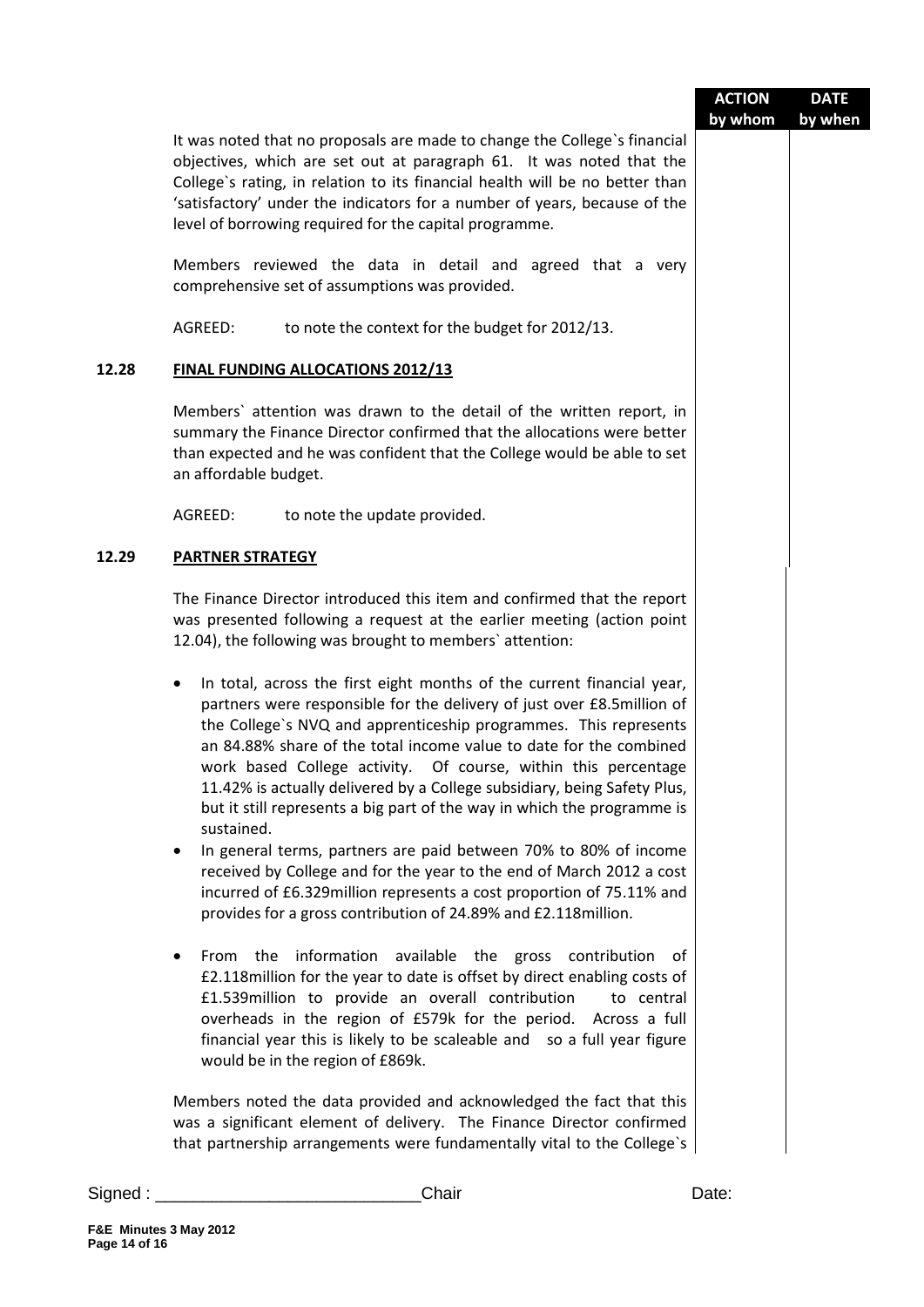|               |                                                                                                                                                                                                                                                                                                                                                                                                                                                                                                                                                                                                                                                                                                                                                                                                                                                                                                                                                                                                                                                                                                                                                                                                                                   | <b>ACTION</b><br>by whom | <b>DATE</b><br>by when |
|---------------|-----------------------------------------------------------------------------------------------------------------------------------------------------------------------------------------------------------------------------------------------------------------------------------------------------------------------------------------------------------------------------------------------------------------------------------------------------------------------------------------------------------------------------------------------------------------------------------------------------------------------------------------------------------------------------------------------------------------------------------------------------------------------------------------------------------------------------------------------------------------------------------------------------------------------------------------------------------------------------------------------------------------------------------------------------------------------------------------------------------------------------------------------------------------------------------------------------------------------------------|--------------------------|------------------------|
|               | It was noted that no proposals are made to change the College's financial<br>objectives, which are set out at paragraph 61. It was noted that the<br>College's rating, in relation to its financial health will be no better than<br>'satisfactory' under the indicators for a number of years, because of the<br>level of borrowing required for the capital programme.                                                                                                                                                                                                                                                                                                                                                                                                                                                                                                                                                                                                                                                                                                                                                                                                                                                          |                          |                        |
|               | Members reviewed the data in detail and agreed that a very<br>comprehensive set of assumptions was provided.                                                                                                                                                                                                                                                                                                                                                                                                                                                                                                                                                                                                                                                                                                                                                                                                                                                                                                                                                                                                                                                                                                                      |                          |                        |
|               | AGREED:<br>to note the context for the budget for 2012/13.                                                                                                                                                                                                                                                                                                                                                                                                                                                                                                                                                                                                                                                                                                                                                                                                                                                                                                                                                                                                                                                                                                                                                                        |                          |                        |
| 12.28         | <b>FINAL FUNDING ALLOCATIONS 2012/13</b>                                                                                                                                                                                                                                                                                                                                                                                                                                                                                                                                                                                                                                                                                                                                                                                                                                                                                                                                                                                                                                                                                                                                                                                          |                          |                        |
|               | Members' attention was drawn to the detail of the written report, in<br>summary the Finance Director confirmed that the allocations were better<br>than expected and he was confident that the College would be able to set<br>an affordable budget.                                                                                                                                                                                                                                                                                                                                                                                                                                                                                                                                                                                                                                                                                                                                                                                                                                                                                                                                                                              |                          |                        |
|               | AGREED:<br>to note the update provided.                                                                                                                                                                                                                                                                                                                                                                                                                                                                                                                                                                                                                                                                                                                                                                                                                                                                                                                                                                                                                                                                                                                                                                                           |                          |                        |
| 12.29         | <b>PARTNER STRATEGY</b>                                                                                                                                                                                                                                                                                                                                                                                                                                                                                                                                                                                                                                                                                                                                                                                                                                                                                                                                                                                                                                                                                                                                                                                                           |                          |                        |
|               | The Finance Director introduced this item and confirmed that the report<br>was presented following a request at the earlier meeting (action point<br>12.04), the following was brought to members' attention:                                                                                                                                                                                                                                                                                                                                                                                                                                                                                                                                                                                                                                                                                                                                                                                                                                                                                                                                                                                                                     |                          |                        |
|               | In total, across the first eight months of the current financial year,<br>٠<br>partners were responsible for the delivery of just over £8.5million of<br>the College's NVQ and apprenticeship programmes. This represents<br>an 84.88% share of the total income value to date for the combined<br>work based College activity. Of course, within this percentage<br>11.42% is actually delivered by a College subsidiary, being Safety Plus,<br>but it still represents a big part of the way in which the programme is<br>sustained.<br>In general terms, partners are paid between 70% to 80% of income<br>٠<br>received by College and for the year to the end of March 2012 a cost<br>incurred of £6.329million represents a cost proportion of 75.11% and<br>provides for a gross contribution of 24.89% and £2.118million.<br>From the information available the gross contribution of<br>٠<br>£2.118million for the year to date is offset by direct enabling costs of<br>£1.539million to provide an overall contribution<br>to central<br>overheads in the region of £579k for the period. Across a full<br>financial year this is likely to be scaleable and so a full year figure<br>would be in the region of £869k. |                          |                        |
|               | Members noted the data provided and acknowledged the fact that this<br>was a significant element of delivery. The Finance Director confirmed<br>that partnership arrangements were fundamentally vital to the College's                                                                                                                                                                                                                                                                                                                                                                                                                                                                                                                                                                                                                                                                                                                                                                                                                                                                                                                                                                                                           |                          |                        |
| Signed : $\_$ | Chair                                                                                                                                                                                                                                                                                                                                                                                                                                                                                                                                                                                                                                                                                                                                                                                                                                                                                                                                                                                                                                                                                                                                                                                                                             | Date:                    |                        |
|               |                                                                                                                                                                                                                                                                                                                                                                                                                                                                                                                                                                                                                                                                                                                                                                                                                                                                                                                                                                                                                                                                                                                                                                                                                                   |                          |                        |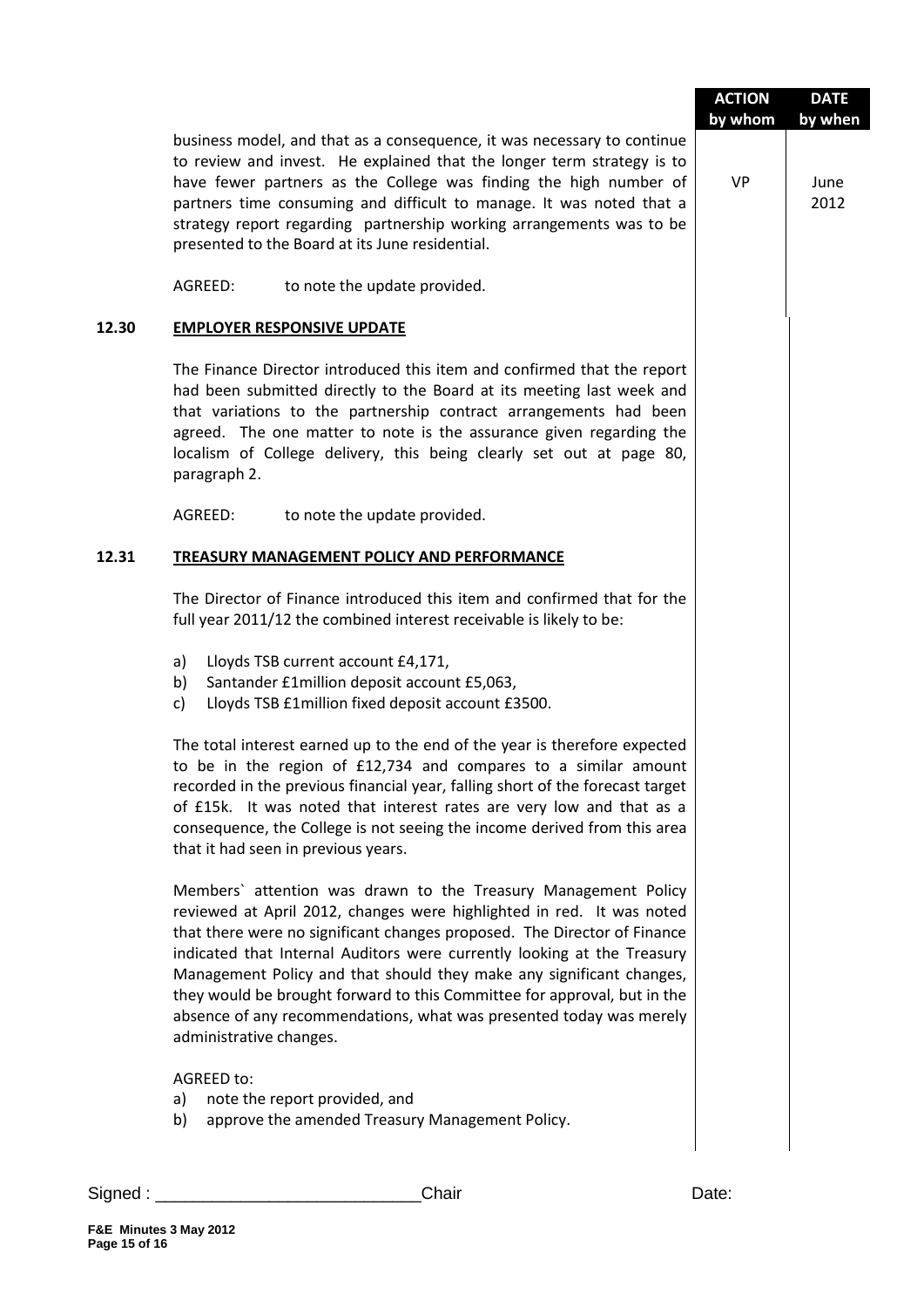|       |                                                                                                                                                                                                                                                                                                                                                                                                                                                                                                                                                      | <b>ACTION</b><br>by whom | <b>DATE</b><br>by when |
|-------|------------------------------------------------------------------------------------------------------------------------------------------------------------------------------------------------------------------------------------------------------------------------------------------------------------------------------------------------------------------------------------------------------------------------------------------------------------------------------------------------------------------------------------------------------|--------------------------|------------------------|
|       | business model, and that as a consequence, it was necessary to continue<br>to review and invest. He explained that the longer term strategy is to<br>have fewer partners as the College was finding the high number of<br>partners time consuming and difficult to manage. It was noted that a<br>strategy report regarding partnership working arrangements was to be<br>presented to the Board at its June residential.                                                                                                                            | <b>VP</b>                | June<br>2012           |
|       | AGREED:<br>to note the update provided.                                                                                                                                                                                                                                                                                                                                                                                                                                                                                                              |                          |                        |
| 12.30 | <b>EMPLOYER RESPONSIVE UPDATE</b>                                                                                                                                                                                                                                                                                                                                                                                                                                                                                                                    |                          |                        |
|       | The Finance Director introduced this item and confirmed that the report<br>had been submitted directly to the Board at its meeting last week and<br>that variations to the partnership contract arrangements had been<br>agreed. The one matter to note is the assurance given regarding the<br>localism of College delivery, this being clearly set out at page 80,<br>paragraph 2.                                                                                                                                                                 |                          |                        |
|       | AGREED:<br>to note the update provided.                                                                                                                                                                                                                                                                                                                                                                                                                                                                                                              |                          |                        |
| 12.31 | <b>TREASURY MANAGEMENT POLICY AND PERFORMANCE</b>                                                                                                                                                                                                                                                                                                                                                                                                                                                                                                    |                          |                        |
|       | The Director of Finance introduced this item and confirmed that for the<br>full year 2011/12 the combined interest receivable is likely to be:                                                                                                                                                                                                                                                                                                                                                                                                       |                          |                        |
|       | Lloyds TSB current account £4,171,<br>a)<br>Santander £1million deposit account £5,063,<br>b)<br>Lloyds TSB £1million fixed deposit account £3500.<br>c)                                                                                                                                                                                                                                                                                                                                                                                             |                          |                        |
|       | The total interest earned up to the end of the year is therefore expected<br>to be in the region of £12,734 and compares to a similar amount<br>recorded in the previous financial year, falling short of the forecast target<br>of £15k. It was noted that interest rates are very low and that as a<br>consequence, the College is not seeing the income derived from this area<br>that it had seen in previous years.                                                                                                                             |                          |                        |
|       | Members' attention was drawn to the Treasury Management Policy<br>reviewed at April 2012, changes were highlighted in red. It was noted<br>that there were no significant changes proposed. The Director of Finance<br>indicated that Internal Auditors were currently looking at the Treasury<br>Management Policy and that should they make any significant changes,<br>they would be brought forward to this Committee for approval, but in the<br>absence of any recommendations, what was presented today was merely<br>administrative changes. |                          |                        |
|       | AGREED to:<br>note the report provided, and<br>a)<br>approve the amended Treasury Management Policy.<br>b)                                                                                                                                                                                                                                                                                                                                                                                                                                           |                          |                        |
|       |                                                                                                                                                                                                                                                                                                                                                                                                                                                                                                                                                      |                          |                        |